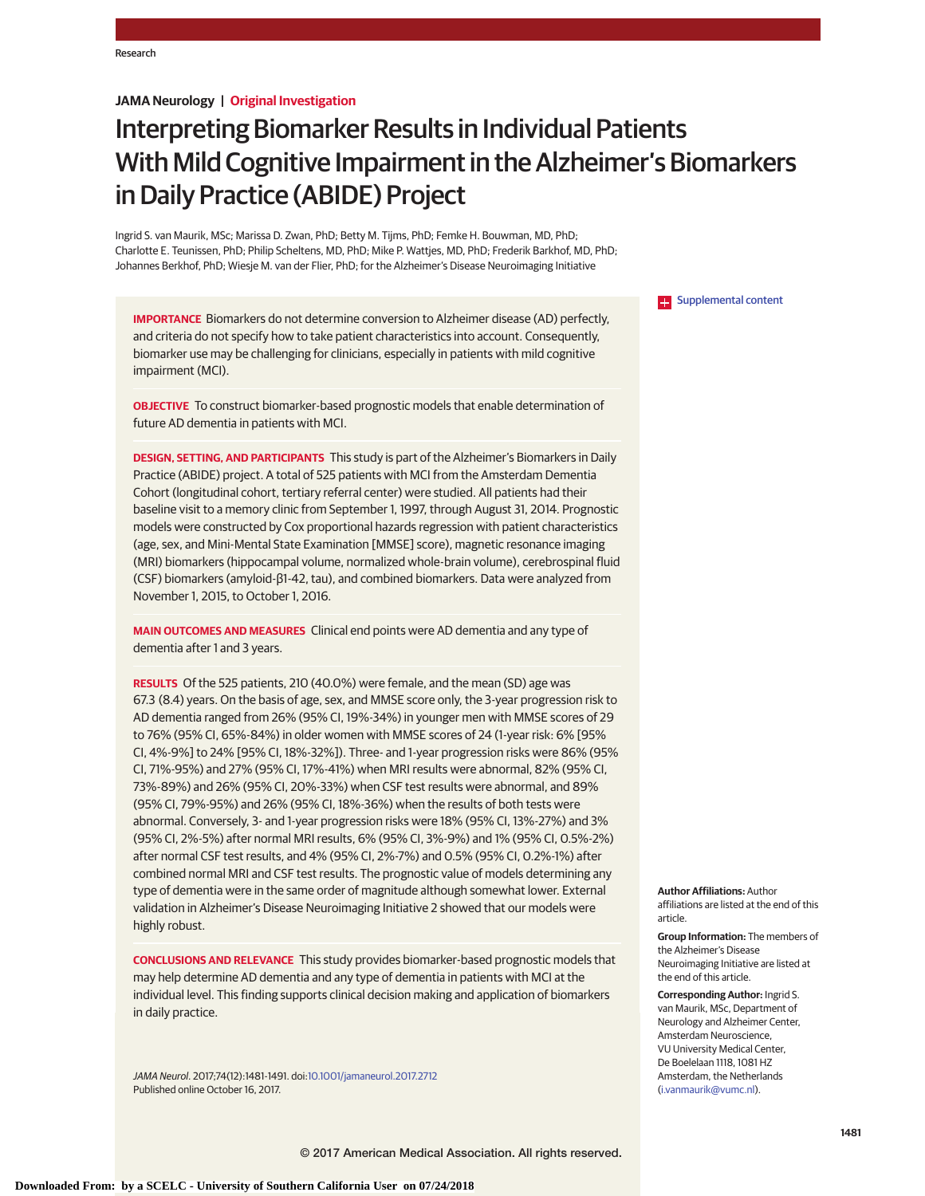## **JAMA Neurology | Original Investigation**

# Interpreting Biomarker Results in Individual Patients With Mild Cognitive Impairment in the Alzheimer's Biomarkers in Daily Practice (ABIDE) Project

Ingrid S. van Maurik, MSc; Marissa D. Zwan, PhD; Betty M. Tijms, PhD; Femke H. Bouwman, MD, PhD; Charlotte E. Teunissen, PhD; Philip Scheltens, MD, PhD; Mike P. Wattjes, MD, PhD; Frederik Barkhof, MD, PhD; Johannes Berkhof, PhD; Wiesje M. van der Flier, PhD; for the Alzheimer's Disease Neuroimaging Initiative

**IMPORTANCE** Biomarkers do not determine conversion to Alzheimer disease (AD) perfectly, and criteria do not specify how to take patient characteristics into account. Consequently, biomarker use may be challenging for clinicians, especially in patients with mild cognitive impairment (MCI).

**OBJECTIVE** To construct biomarker-based prognostic models that enable determination of future AD dementia in patients with MCI.

**DESIGN, SETTING, AND PARTICIPANTS** This study is part of the Alzheimer's Biomarkers in Daily Practice (ABIDE) project. A total of 525 patients with MCI from the Amsterdam Dementia Cohort (longitudinal cohort, tertiary referral center) were studied. All patients had their baseline visit to a memory clinic from September 1, 1997, through August 31, 2014. Prognostic models were constructed by Cox proportional hazards regression with patient characteristics (age, sex, and Mini-Mental State Examination [MMSE] score), magnetic resonance imaging (MRI) biomarkers (hippocampal volume, normalized whole-brain volume), cerebrospinal fluid (CSF) biomarkers (amyloid-β1-42, tau), and combined biomarkers. Data were analyzed from November 1, 2015, to October 1, 2016.

**MAIN OUTCOMES AND MEASURES** Clinical end points were AD dementia and any type of dementia after 1 and 3 years.

**RESULTS** Of the 525 patients, 210 (40.0%) were female, and the mean (SD) age was 67.3 (8.4) years. On the basis of age, sex, and MMSE score only, the 3-year progression risk to AD dementia ranged from 26% (95% CI, 19%-34%) in younger men with MMSE scores of 29 to 76% (95% CI, 65%-84%) in older women with MMSE scores of 24 (1-year risk: 6% [95% CI, 4%-9%] to 24% [95% CI, 18%-32%]). Three- and 1-year progression risks were 86% (95% CI, 71%-95%) and 27% (95% CI, 17%-41%) when MRI results were abnormal, 82% (95% CI, 73%-89%) and 26% (95% CI, 20%-33%) when CSF test results were abnormal, and 89% (95% CI, 79%-95%) and 26% (95% CI, 18%-36%) when the results of both tests were abnormal. Conversely, 3- and 1-year progression risks were 18% (95% CI, 13%-27%) and 3% (95% CI, 2%-5%) after normal MRI results, 6% (95% CI, 3%-9%) and 1% (95% CI, 0.5%-2%) after normal CSF test results, and 4% (95% CI, 2%-7%) and 0.5% (95% CI, 0.2%-1%) after combined normal MRI and CSF test results. The prognostic value of models determining any type of dementia were in the same order of magnitude although somewhat lower. External validation in Alzheimer's Disease Neuroimaging Initiative 2 showed that our models were highly robust.

**CONCLUSIONS AND RELEVANCE** This study provides biomarker-based prognostic models that may help determine AD dementia and any type of dementia in patients with MCI at the individual level. This finding supports clinical decision making and application of biomarkers in daily practice.

JAMA Neurol. 2017;74(12):1481-1491. doi[:10.1001/jamaneurol.2017.2712](http://jama.jamanetwork.com/article.aspx?doi=10.1001/jamaneurol.2017.2712&utm_campaign=articlePDF%26utm_medium=articlePDFlink%26utm_source=articlePDF%26utm_content=jamaneurol.2017.2712) Published online October 16, 2017.

**Examplemental content** 

**Author Affiliations:** Author affiliations are listed at the end of this article.

**Group Information:** The members of the Alzheimer's Disease Neuroimaging Initiative are listed at the end of this article.

**Corresponding Author:** Ingrid S. van Maurik, MSc, Department of Neurology and Alzheimer Center, Amsterdam Neuroscience, VU University Medical Center, De Boelelaan 1118, 1081 HZ Amsterdam, the Netherlands [\(i.vanmaurik@vumc.nl\)](mailto:i.vanmaurik@vumc.nl).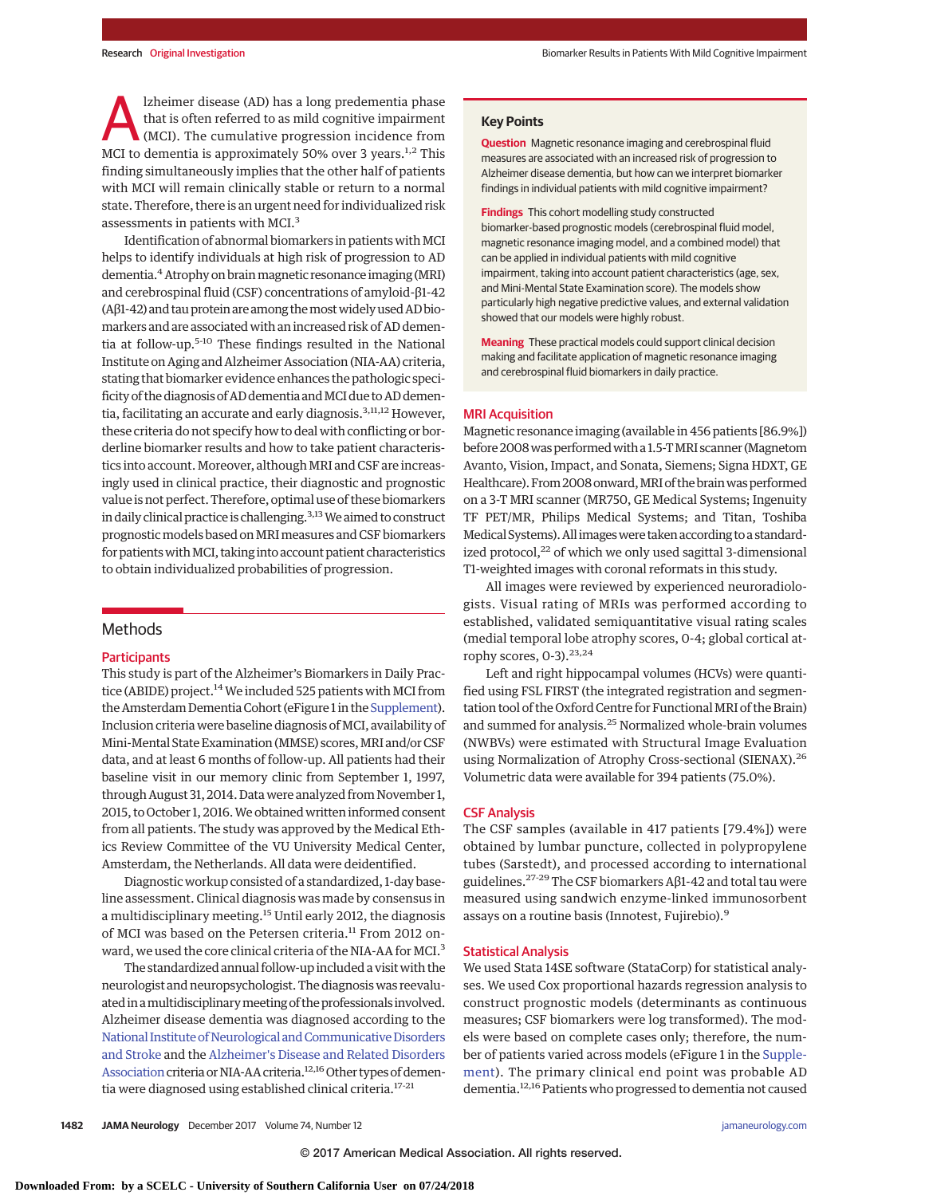lzheimer disease (AD) has a long predementia phase that is often referred to as mild cognitive impairment (MCI). The cumulative progression incidence from MCI to dementia is approximately 50% over 3 years.<sup>1,2</sup> This finding simultaneously implies that the other half of patients with MCI will remain clinically stable or return to a normal state. Therefore, there is an urgent need for individualized risk assessments in patients with MCI.<sup>3</sup>

Identification of abnormal biomarkers in patients with MCI helps to identify individuals at high risk of progression to AD dementia.<sup>4</sup> Atrophy on brain magnetic resonance imaging (MRI) and cerebrospinal fluid (CSF) concentrations of amyloid-β1-42 (Aβ1-42) and tauprotein are among themostwidelyused AD biomarkers and are associated with an increased risk of AD dementia at follow-up.<sup>5-10</sup> These findings resulted in the National Institute on Aging and Alzheimer Association (NIA-AA) criteria, stating that biomarker evidence enhances the pathologic specificity of the diagnosis of AD dementia and MCI due to AD dementia, facilitating an accurate and early diagnosis.<sup>3,11,12</sup> However, these criteria do not specify how to deal with conflicting or borderline biomarker results and how to take patient characteristics into account. Moreover, although MRI and CSF are increasingly used in clinical practice, their diagnostic and prognostic value is not perfect. Therefore, optimal use of these biomarkers in daily clinical practice is challenging.<sup>3,13</sup> We aimed to construct prognostic models based on MRI measures and CSF biomarkers for patients with MCI, taking into account patient characteristics to obtain individualized probabilities of progression.

## **Methods**

### **Participants**

This study is part of the Alzheimer's Biomarkers in Daily Practice (ABIDE) project.<sup>14</sup> We included 525 patients with MCI from the Amsterdam Dementia Cohort (eFigure 1 in the Supplement). Inclusion criteria were baseline diagnosis of MCI, availability of Mini-Mental State Examination (MMSE) scores, MRI and/or CSF data, and at least 6 months of follow-up. All patients had their baseline visit in our memory clinic from September 1, 1997, through August 31, 2014. Data were analyzed from November 1, 2015, to October 1, 2016. We obtained written informed consent from all patients. The study was approved by the Medical Ethics Review Committee of the VU University Medical Center, Amsterdam, the Netherlands. All data were deidentified.

Diagnostic workup consisted of a standardized, 1-day baseline assessment. Clinical diagnosis was made by consensus in a multidisciplinary meeting.<sup>15</sup> Until early 2012, the diagnosis of MCI was based on the Petersen criteria.<sup>11</sup> From 2012 onward, we used the core clinical criteria of the NIA-AA for MCI.<sup>3</sup>

The standardized annual follow-up included a visitwith the neurologist and neuropsychologist. The diagnosis was reevaluated in a multidisciplinary meeting of the professionals involved. Alzheimer disease dementia was diagnosed according to the National Institute of Neurological and Communicative Disorders [and Stroke](https://en.wikipedia.org/wiki/National_Institute_of_Neurological_and_Communicative_Disorders_and_Stroke) and the [Alzheimer's Disease and Related Disorders](https://en.wikipedia.org/wiki/Alzheimer%27s_Disease_and_Related_Disorders_Association) [Association](https://en.wikipedia.org/wiki/Alzheimer%27s_Disease_and_Related_Disorders_Association) criteria or NIA-AA criteria.<sup>12,16</sup> Other types of dementia were diagnosed using established clinical criteria.<sup>17-21</sup>

## **Key Points**

**Question** Magnetic resonance imaging and cerebrospinal fluid measures are associated with an increased risk of progression to Alzheimer disease dementia, but how can we interpret biomarker findings in individual patients with mild cognitive impairment?

**Findings** This cohort modelling study constructed biomarker-based prognostic models (cerebrospinal fluid model, magnetic resonance imaging model, and a combined model) that can be applied in individual patients with mild cognitive impairment, taking into account patient characteristics (age, sex, and Mini-Mental State Examination score). The models show particularly high negative predictive values, and external validation showed that our models were highly robust.

**Meaning** These practical models could support clinical decision making and facilitate application of magnetic resonance imaging and cerebrospinal fluid biomarkers in daily practice.

#### MRI Acquisition

Magnetic resonance imaging (available in 456 patients [86.9%]) before 2008 was performed with a 1.5-T MRI scanner (Magnetom Avanto, Vision, Impact, and Sonata, Siemens; Signa HDXT, GE Healthcare). From 2008 onward, MRI of the brain was performed on a 3-T MRI scanner (MR750, GE Medical Systems; Ingenuity TF PET/MR, Philips Medical Systems; and Titan, Toshiba Medical Systems). All imageswere taken according to a standardized protocol, $^{22}$  of which we only used sagittal 3-dimensional T1-weighted images with coronal reformats in this study.

All images were reviewed by experienced neuroradiologists. Visual rating of MRIs was performed according to established, validated semiquantitative visual rating scales (medial temporal lobe atrophy scores, 0-4; global cortical atrophy scores,  $0-3$ ).<sup>23,24</sup>

Left and right hippocampal volumes (HCVs) were quantified using FSL FIRST (the integrated registration and segmentation tool of the Oxford Centre for Functional MRI of the Brain) and summed for analysis.<sup>25</sup> Normalized whole-brain volumes (NWBVs) were estimated with Structural Image Evaluation using Normalization of Atrophy Cross-sectional (SIENAX).<sup>26</sup> Volumetric data were available for 394 patients (75.0%).

## CSF Analysis

The CSF samples (available in 417 patients [79.4%]) were obtained by lumbar puncture, collected in polypropylene tubes (Sarstedt), and processed according to international guidelines.27-29The CSF biomarkers Aβ1-42 and total tau were measured using sandwich enzyme-linked immunosorbent assays on a routine basis (Innotest, Fujirebio).<sup>9</sup>

#### Statistical Analysis

We used Stata 14SE software (StataCorp) for statistical analyses. We used Cox proportional hazards regression analysis to construct prognostic models (determinants as continuous measures; CSF biomarkers were log transformed). The models were based on complete cases only; therefore, the number of patients varied across models (eFigure 1 in the [Supple](http://jama.jamanetwork.com/article.aspx?doi=10.1001/jamaneurol.2017.2712&utm_campaign=articlePDF%26utm_medium=articlePDFlink%26utm_source=articlePDF%26utm_content=jamaneurol.2017.2712)[ment\)](http://jama.jamanetwork.com/article.aspx?doi=10.1001/jamaneurol.2017.2712&utm_campaign=articlePDF%26utm_medium=articlePDFlink%26utm_source=articlePDF%26utm_content=jamaneurol.2017.2712). The primary clinical end point was probable AD dementia.12,16 Patients who progressed to dementia not caused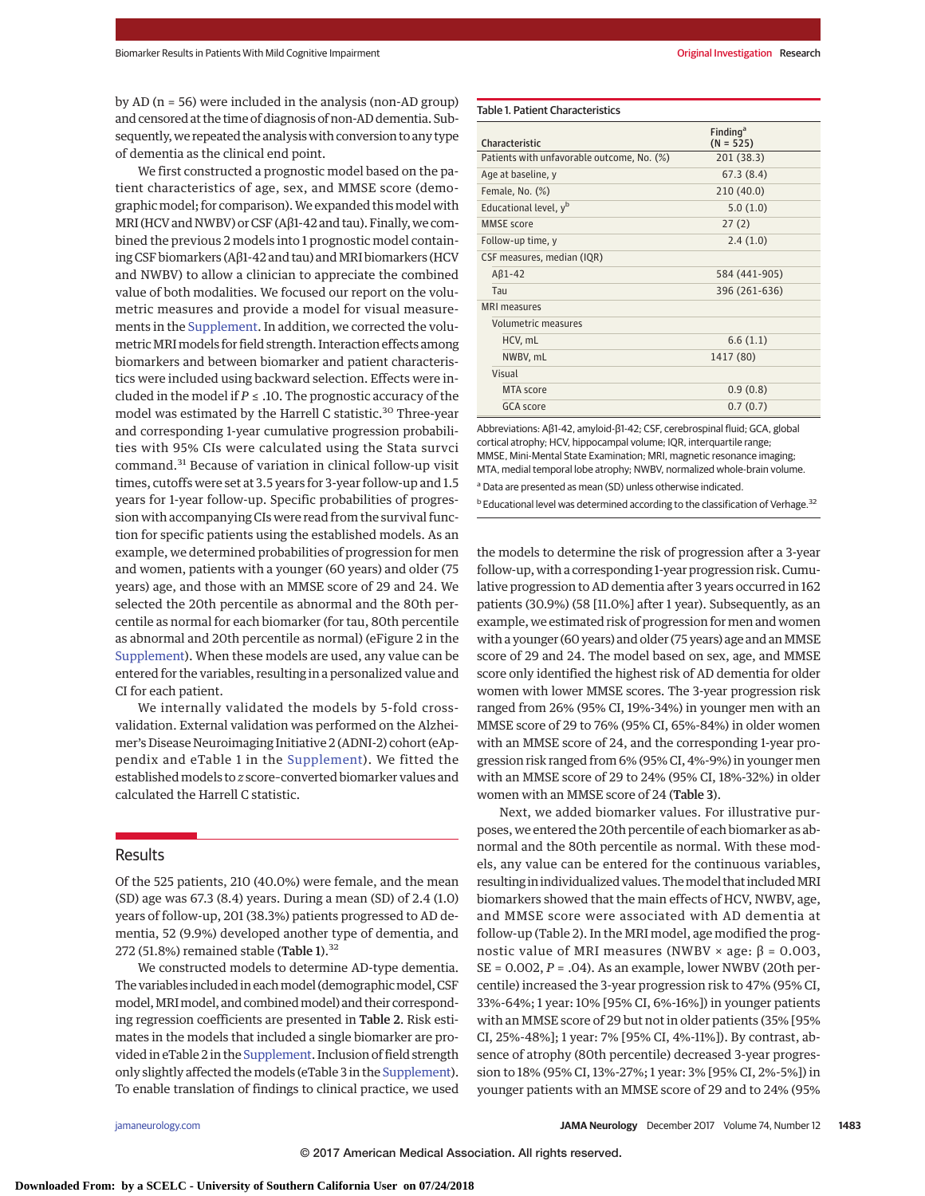by AD (n = 56) were included in the analysis (non-AD group) and censored at the time of diagnosis of non-AD dementia. Subsequently,we repeated the analysiswith conversion to any type of dementia as the clinical end point.

We first constructed a prognostic model based on the patient characteristics of age, sex, and MMSE score (demographic model; for comparison). We expanded this model with MRI (HCV and NWBV) or CSF (Aβ1-42 and tau). Finally, we combined the previous 2 models into 1 prognostic model containing CSF biomarkers (Aβ1-42 and tau) and MRI biomarkers (HCV and NWBV) to allow a clinician to appreciate the combined value of both modalities. We focused our report on the volumetric measures and provide a model for visual measurements in the [Supplement.](http://jama.jamanetwork.com/article.aspx?doi=10.1001/jamaneurol.2017.2712&utm_campaign=articlePDF%26utm_medium=articlePDFlink%26utm_source=articlePDF%26utm_content=jamaneurol.2017.2712) In addition, we corrected the volumetricMRImodels for field strength. Interaction effects among biomarkers and between biomarker and patient characteristics were included using backward selection. Effects were included in the model if *P* ≤ .10. The prognostic accuracy of the model was estimated by the Harrell C statistic.<sup>30</sup> Three-year and corresponding 1-year cumulative progression probabilities with 95% CIs were calculated using the Stata survci command.<sup>31</sup> Because of variation in clinical follow-up visit times, cutoffs were set at 3.5 years for 3-year follow-up and 1.5 years for 1-year follow-up. Specific probabilities of progression with accompanying CIs were read from the survival function for specific patients using the established models. As an example, we determined probabilities of progression for men and women, patients with a younger (60 years) and older (75 years) age, and those with an MMSE score of 29 and 24. We selected the 20th percentile as abnormal and the 80th percentile as normal for each biomarker (for tau, 80th percentile as abnormal and 20th percentile as normal) (eFigure 2 in the [Supplement\)](http://jama.jamanetwork.com/article.aspx?doi=10.1001/jamaneurol.2017.2712&utm_campaign=articlePDF%26utm_medium=articlePDFlink%26utm_source=articlePDF%26utm_content=jamaneurol.2017.2712). When these models are used, any value can be entered for the variables, resulting in a personalized value and CI for each patient.

We internally validated the models by 5-fold crossvalidation. External validation was performed on the Alzheimer's Disease Neuroimaging Initiative 2 (ADNI-2) cohort (eAppendix and eTable 1 in the [Supplement\)](http://jama.jamanetwork.com/article.aspx?doi=10.1001/jamaneurol.2017.2712&utm_campaign=articlePDF%26utm_medium=articlePDFlink%26utm_source=articlePDF%26utm_content=jamaneurol.2017.2712). We fitted the establishedmodels to *z* score–converted biomarker values and calculated the Harrell C statistic.

## Results

Of the 525 patients, 210 (40.0%) were female, and the mean (SD) age was 67.3 (8.4) years. During a mean (SD) of 2.4 (1.0) years of follow-up, 201 (38.3%) patients progressed to AD dementia, 52 (9.9%) developed another type of dementia, and 272 (51.8%) remained stable (Table 1). $32$ 

We constructed models to determine AD-type dementia. The variables included in each model (demographic model, CSF model, MRI model, and combined model) and their corresponding regression coefficients are presented in Table 2. Risk estimates in the models that included a single biomarker are provided in eTable 2 in the [Supplement.](http://jama.jamanetwork.com/article.aspx?doi=10.1001/jamaneurol.2017.2712&utm_campaign=articlePDF%26utm_medium=articlePDFlink%26utm_source=articlePDF%26utm_content=jamaneurol.2017.2712) Inclusion of field strength only slightly affected the models (eTable 3 in the [Supplement\)](http://jama.jamanetwork.com/article.aspx?doi=10.1001/jamaneurol.2017.2712&utm_campaign=articlePDF%26utm_medium=articlePDFlink%26utm_source=articlePDF%26utm_content=jamaneurol.2017.2712). To enable translation of findings to clinical practice, we used

### Table 1. Patient Characteristics

|                                            | Finding <sup>a</sup> |
|--------------------------------------------|----------------------|
| Characteristic                             | $(N = 525)$          |
| Patients with unfavorable outcome, No. (%) | 201 (38.3)           |
| Age at baseline, y                         | 67.3(8.4)            |
| Female, No. (%)                            | 210 (40.0)           |
| Educational level, y <sup>b</sup>          | 5.0(1.0)             |
| <b>MMSF</b> score                          | 27(2)                |
| Follow-up time, y                          | 2.4(1.0)             |
| CSF measures, median (IQR)                 |                      |
| $AB1-42$                                   | 584 (441-905)        |
| Tau                                        | 396 (261-636)        |
| <b>MRI</b> measures                        |                      |
| Volumetric measures                        |                      |
| HCV, mL                                    | 6.6(1.1)             |
| NWBV, mL                                   | 1417 (80)            |
| Visual                                     |                      |
| MTA score                                  | 0.9(0.8)             |
| GCA score                                  | 0.7(0.7)             |

Abbreviations: Aβ1-42, amyloid-β1-42; CSF, cerebrospinal fluid; GCA, global cortical atrophy; HCV, hippocampal volume; IQR, interquartile range; MMSE, Mini-Mental State Examination; MRI, magnetic resonance imaging; MTA, medial temporal lobe atrophy; NWBV, normalized whole-brain volume. <sup>a</sup> Data are presented as mean (SD) unless otherwise indicated.

<sup>b</sup> Educational level was determined according to the classification of Verhage.<sup>32</sup>

the models to determine the risk of progression after a 3-year follow-up, with a corresponding 1-year progression risk. Cumulative progression to AD dementia after 3 years occurred in 162 patients (30.9%) (58 [11.0%] after 1 year). Subsequently, as an example, we estimated risk of progression for men and women with a younger (60 years) and older (75 years) age and an MMSE score of 29 and 24. The model based on sex, age, and MMSE score only identified the highest risk of AD dementia for older women with lower MMSE scores. The 3-year progression risk ranged from 26% (95% CI, 19%-34%) in younger men with an MMSE score of 29 to 76% (95% CI, 65%-84%) in older women with an MMSE score of 24, and the corresponding 1-year progression risk ranged from 6% (95% CI, 4%-9%) in younger men with an MMSE score of 29 to 24% (95% CI, 18%-32%) in older women with an MMSE score of 24 (Table 3).

Next, we added biomarker values. For illustrative purposes, we entered the 20th percentile of each biomarker as abnormal and the 80th percentile as normal. With these models, any value can be entered for the continuous variables, resulting in individualized values. The model that included MRI biomarkers showed that the main effects of HCV, NWBV, age, and MMSE score were associated with AD dementia at follow-up (Table 2). In the MRI model, age modified the prognostic value of MRI measures (NWBV × age:  $β = 0.003$ , SE = 0.002, *P* = .04). As an example, lower NWBV (20th percentile) increased the 3-year progression risk to 47% (95% CI, 33%-64%; 1 year: 10% [95% CI, 6%-16%]) in younger patients with an MMSE score of 29 but not in older patients (35% [95% CI, 25%-48%]; 1 year: 7% [95% CI, 4%-11%]). By contrast, absence of atrophy (80th percentile) decreased 3-year progression to 18% (95% CI, 13%-27%; 1 year: 3% [95% CI, 2%-5%]) in younger patients with an MMSE score of 29 and to 24% (95%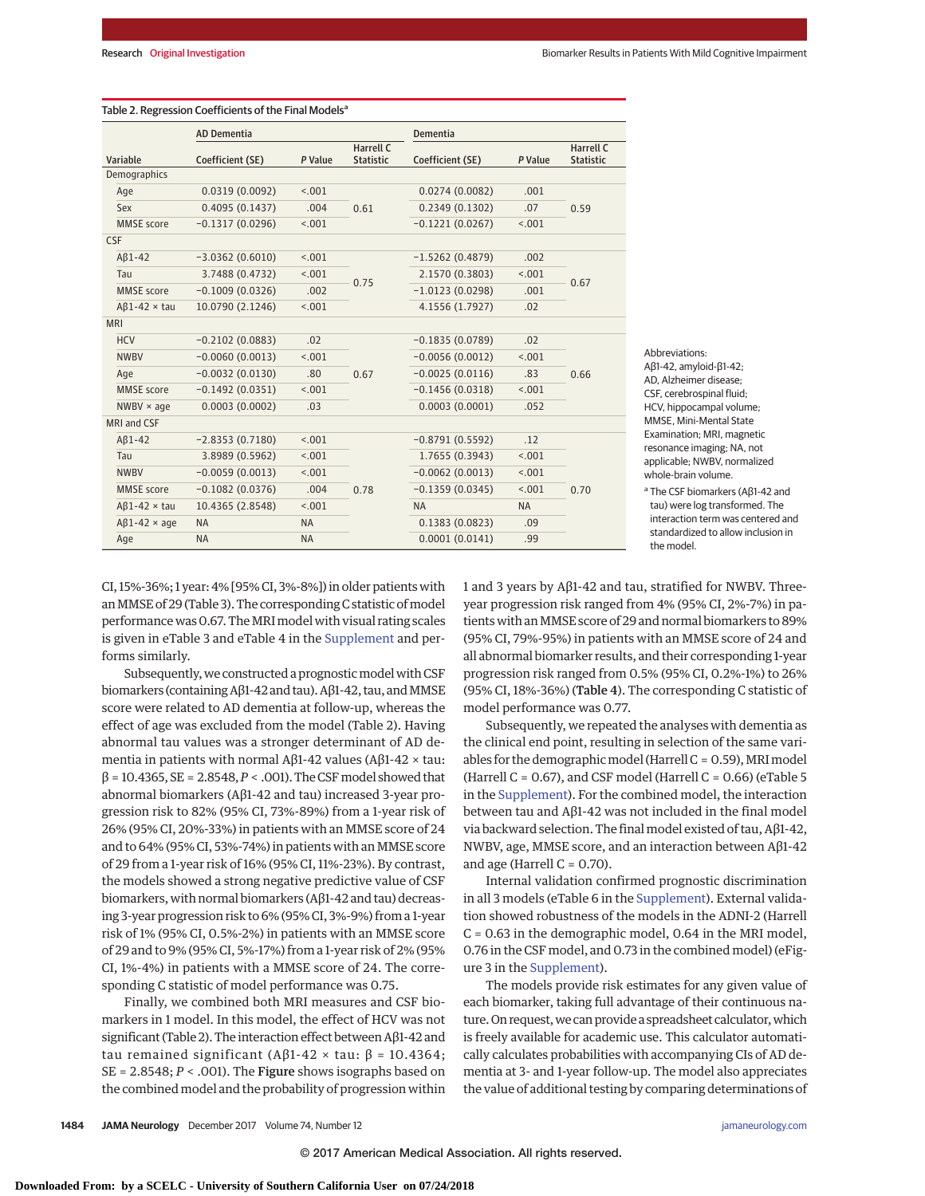|                          | <b>AD Dementia</b> |           |                                      | <b>Dementia</b>   |           |                               |  |
|--------------------------|--------------------|-----------|--------------------------------------|-------------------|-----------|-------------------------------|--|
| Variable                 | Coefficient (SE)   | P Value   | <b>Harrell C</b><br><b>Statistic</b> | Coefficient (SE)  | P Value   | Harrell C<br><b>Statistic</b> |  |
| Demographics             |                    |           |                                      |                   |           |                               |  |
| Age                      | 0.0319(0.0092)     | < .001    |                                      | 0.0274(0.0082)    | .001      |                               |  |
| Sex                      | 0.4095(0.1437)     | .004      | 0.61                                 | 0.2349(0.1302)    | .07       | 0.59                          |  |
| <b>MMSE</b> score        | $-0.1317(0.0296)$  | < .001    |                                      | $-0.1221(0.0267)$ | < .001    |                               |  |
| <b>CSF</b>               |                    |           |                                      |                   |           |                               |  |
| $AB1-42$                 | $-3.0362(0.6010)$  | < .001    |                                      | $-1.5262(0.4879)$ | .002      |                               |  |
| Tau                      | 3.7488 (0.4732)    | < .001    |                                      | 2.1570 (0.3803)   | < .001    | 0.67                          |  |
| <b>MMSE</b> score        | $-0.1009(0.0326)$  | .002      | 0.75                                 | $-1.0123(0.0298)$ | .001      |                               |  |
| $AB1-42 \times \tau$ tau | 10.0790 (2.1246)   | < .001    |                                      | 4.1556 (1.7927)   | .02       |                               |  |
| <b>MRI</b>               |                    |           |                                      |                   |           |                               |  |
| <b>HCV</b>               | $-0.2102(0.0883)$  | .02       |                                      | $-0.1835(0.0789)$ | .02       |                               |  |
| <b>NWBV</b>              | $-0.0060(0.0013)$  | < 0.01    |                                      | $-0.0056(0.0012)$ | < .001    |                               |  |
| Age                      | $-0.0032(0.0130)$  | .80       | 0.67                                 | $-0.0025(0.0116)$ | .83       | 0.66                          |  |
| <b>MMSE</b> score        | $-0.1492(0.0351)$  | < .001    |                                      | $-0.1456(0.0318)$ | < .001    |                               |  |
| $NWBV \times age$        | 0.0003(0.0002)     | .03       |                                      | 0.0003(0.0001)    | .052      |                               |  |
| <b>MRI and CSF</b>       |                    |           |                                      |                   |           |                               |  |
| $AB1-42$                 | $-2.8353(0.7180)$  | < .001    |                                      | $-0.8791(0.5592)$ | .12       |                               |  |
| Tau                      | 3.8989 (0.5962)    | < .001    |                                      | 1.7655 (0.3943)   | < .001    |                               |  |
| <b>NWBV</b>              | $-0.0059(0.0013)$  | < .001    |                                      | $-0.0062(0.0013)$ | < .001    |                               |  |
| <b>MMSE</b> score        | $-0.1082(0.0376)$  | .004      | 0.78                                 | $-0.1359(0.0345)$ | < .001    | 0.70                          |  |
| $AB1-42 \times \tau$ au  | 10.4365 (2.8548)   | < .001    |                                      | <b>NA</b>         | <b>NA</b> |                               |  |
| $AB1-42 \times age$      | <b>NA</b>          | <b>NA</b> |                                      | 0.1383(0.0823)    | .09       |                               |  |
| Age                      | <b>NA</b>          | <b>NA</b> |                                      | 0.0001(0.0141)    | .99       |                               |  |

Abbreviations: Aβ1-42, amyloid-β1-42; AD, Alzheimer disease; CSF, cerebrospinal fluid; HCV, hippocampal volume; MMSE, Mini-Mental State Examination; MRI, magnetic resonance imaging; NA, not applicable; NWBV, normalized whole-brain volume. <sup>a</sup> The CSF biomarkers (Aβ1-42 and

tau) were log transformed. The interaction term was centered and standardized to allow inclusion in the model.

CI, 15%-36%; 1 year: 4% [95% CI, 3%-8%]) in older patients with an MMSE of 29 (Table 3). The corresponding C statistic of model performance was 0.67. The MRI model with visual rating scales is given in eTable 3 and eTable 4 in the [Supplement](http://jama.jamanetwork.com/article.aspx?doi=10.1001/jamaneurol.2017.2712&utm_campaign=articlePDF%26utm_medium=articlePDFlink%26utm_source=articlePDF%26utm_content=jamaneurol.2017.2712) and performs similarly.

Subsequently, we constructed a prognostic model with CSF biomarkers (containing Aβ1-42 and tau). Aβ1-42, tau, and MMSE score were related to AD dementia at follow-up, whereas the effect of age was excluded from the model (Table 2). Having abnormal tau values was a stronger determinant of AD dementia in patients with normal Aβ1-42 values (Aβ1-42 × tau:  $β = 10.4365$ ,  $SE = 2.8548$ ,  $P < .001$ ). The CSF model showed that abnormal biomarkers (Aβ1-42 and tau) increased 3-year progression risk to 82% (95% CI, 73%-89%) from a 1-year risk of 26% (95% CI, 20%-33%) in patients with an MMSE score of 24 and to 64% (95% CI, 53%-74%) in patients with an MMSE score of 29 from a 1-year risk of 16% (95% CI, 11%-23%). By contrast, the models showed a strong negative predictive value of CSF biomarkers, with normal biomarkers (Aβ1-42 and tau) decreasing 3-year progression risk to 6% (95% CI, 3%-9%) from a 1-year risk of 1% (95% CI, 0.5%-2%) in patients with an MMSE score of 29 and to 9% (95% CI, 5%-17%) from a 1-year risk of 2% (95% CI, 1%-4%) in patients with a MMSE score of 24. The corresponding C statistic of model performance was 0.75.

Finally, we combined both MRI measures and CSF biomarkers in 1 model. In this model, the effect of HCV was not significant (Table 2). The interaction effect between Aβ1-42 and tau remained significant (A $\beta$ 1-42 × tau:  $\beta$  = 10.4364; SE = 2.8548; *P* < .001). The Figure shows isographs based on the combined model and the probability of progression within 1 and 3 years by Aβ1-42 and tau, stratified for NWBV. Threeyear progression risk ranged from 4% (95% CI, 2%-7%) in patients with anMMSE score of 29 and normal biomarkers to 89% (95% CI, 79%-95%) in patients with an MMSE score of 24 and all abnormal biomarker results, and their corresponding 1-year progression risk ranged from 0.5% (95% CI, 0.2%-1%) to 26% (95% CI, 18%-36%) (Table 4). The corresponding C statistic of model performance was 0.77.

Subsequently, we repeated the analyses with dementia as the clinical end point, resulting in selection of the same variables for the demographic model (Harrell  $C = 0.59$ ), MRI model (Harrell C =  $0.67$ ), and CSF model (Harrell C =  $0.66$ ) (eTable 5 in the [Supplement\)](http://jama.jamanetwork.com/article.aspx?doi=10.1001/jamaneurol.2017.2712&utm_campaign=articlePDF%26utm_medium=articlePDFlink%26utm_source=articlePDF%26utm_content=jamaneurol.2017.2712). For the combined model, the interaction between tau and Aβ1-42 was not included in the final model via backward selection. The final model existed of tau, Aβ1-42, NWBV, age, MMSE score, and an interaction between Aβ1-42 and age (Harrell  $C = 0.70$ ).

Internal validation confirmed prognostic discrimination in all 3 models (eTable 6 in the [Supplement\)](http://jama.jamanetwork.com/article.aspx?doi=10.1001/jamaneurol.2017.2712&utm_campaign=articlePDF%26utm_medium=articlePDFlink%26utm_source=articlePDF%26utm_content=jamaneurol.2017.2712). External validation showed robustness of the models in the ADNI-2 (Harrell C = 0.63 in the demographic model, 0.64 in the MRI model, 0.76 in the CSF model, and 0.73 in the combined model) (eFigure 3 in the [Supplement\)](http://jama.jamanetwork.com/article.aspx?doi=10.1001/jamaneurol.2017.2712&utm_campaign=articlePDF%26utm_medium=articlePDFlink%26utm_source=articlePDF%26utm_content=jamaneurol.2017.2712).

The models provide risk estimates for any given value of each biomarker, taking full advantage of their continuous nature. On request, we can provide a spreadsheet calculator, which is freely available for academic use. This calculator automatically calculates probabilities with accompanying CIs of AD dementia at 3- and 1-year follow-up. The model also appreciates the value of additional testing by comparing determinations of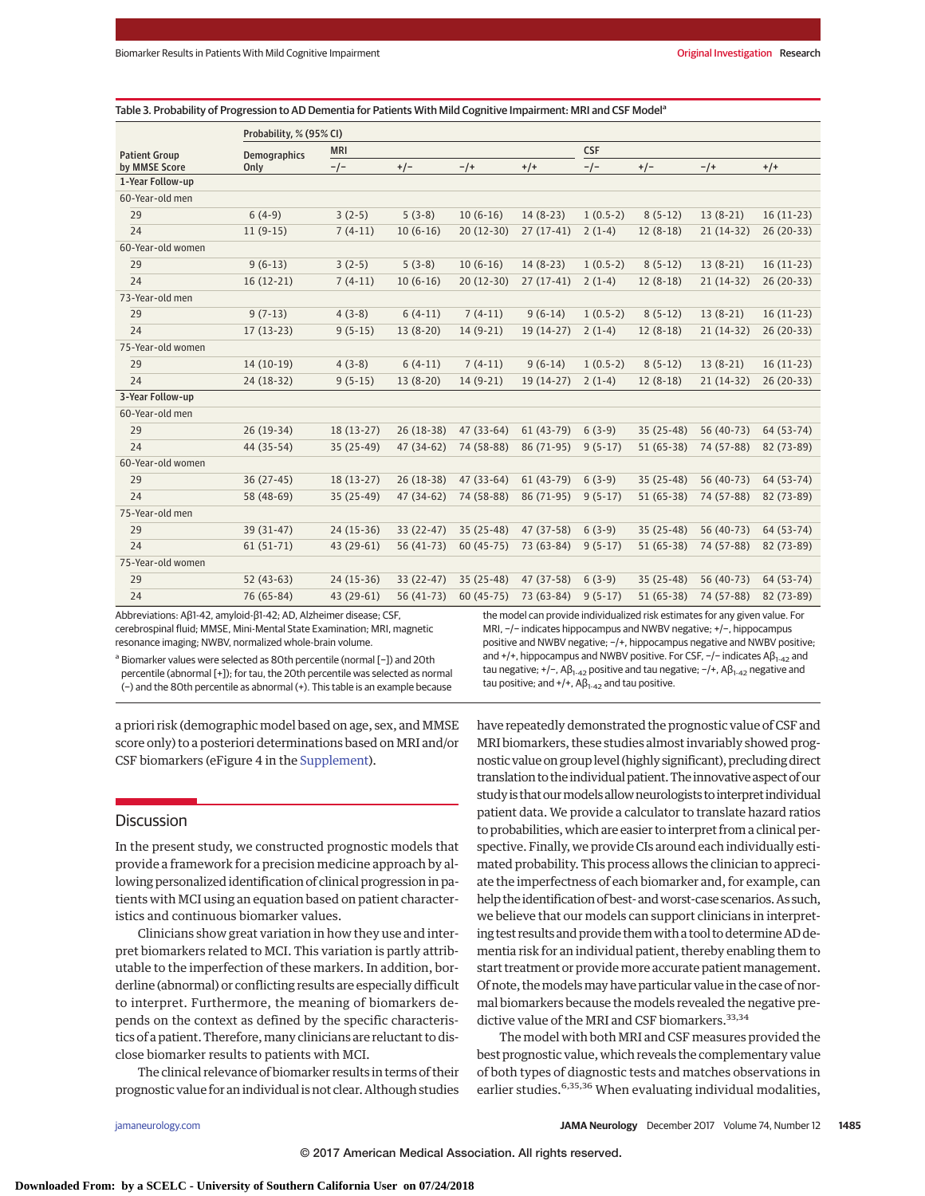| Table 3. Probability of Progression to AD Dementia for Patients With Mild Cognitive Impairment: MRI and CSF Model <sup>a</sup> |  |
|--------------------------------------------------------------------------------------------------------------------------------|--|
|--------------------------------------------------------------------------------------------------------------------------------|--|

|                      | Probability, % (95% CI)     |             |             |             |             |            |             |             |             |
|----------------------|-----------------------------|-------------|-------------|-------------|-------------|------------|-------------|-------------|-------------|
| <b>Patient Group</b> | <b>MRI</b>                  |             |             |             | <b>CSF</b>  |            |             |             |             |
| by MMSE Score        | <b>Demographics</b><br>Only | $-/-$       | $+/-$       | $-/+$       | $+ / +$     | $-/-$      | $+/-$       | $-/+$       | $+/-$       |
| 1-Year Follow-up     |                             |             |             |             |             |            |             |             |             |
| 60-Year-old men      |                             |             |             |             |             |            |             |             |             |
| 29                   | $6(4-9)$                    | $3(2-5)$    | $5(3-8)$    | $10(6-16)$  | $14(8-23)$  | $1(0.5-2)$ | $8(5-12)$   | $13(8-21)$  | $16(11-23)$ |
| 24                   | $11(9-15)$                  | $7(4-11)$   | $10(6-16)$  | $20(12-30)$ | $27(17-41)$ | $2(1-4)$   | $12(8-18)$  | $21(14-32)$ | $26(20-33)$ |
| 60-Year-old women    |                             |             |             |             |             |            |             |             |             |
| 29                   | $9(6-13)$                   | $3(2-5)$    | $5(3-8)$    | $10(6-16)$  | $14(8-23)$  | $1(0.5-2)$ | $8(5-12)$   | $13(8-21)$  | $16(11-23)$ |
| 24                   | $16(12-21)$                 | $7(4-11)$   | $10(6-16)$  | $20(12-30)$ | $27(17-41)$ | $2(1-4)$   | $12(8-18)$  | $21(14-32)$ | $26(20-33)$ |
| 73-Year-old men      |                             |             |             |             |             |            |             |             |             |
| 29                   | $9(7-13)$                   | $4(3-8)$    | $6(4-11)$   | $7(4-11)$   | $9(6-14)$   | $1(0.5-2)$ | $8(5-12)$   | $13(8-21)$  | $16(11-23)$ |
| 24                   | $17(13-23)$                 | $9(5-15)$   | $13(8-20)$  | $14(9-21)$  | 19 (14-27)  | $2(1-4)$   | $12(8-18)$  | $21(14-32)$ | $26(20-33)$ |
| 75-Year-old women    |                             |             |             |             |             |            |             |             |             |
| 29                   | $14(10-19)$                 | $4(3-8)$    | $6(4-11)$   | $7(4-11)$   | $9(6-14)$   | $1(0.5-2)$ | $8(5-12)$   | $13(8-21)$  | $16(11-23)$ |
| 24                   | 24 (18-32)                  | $9(5-15)$   | $13(8-20)$  | $14(9-21)$  | 19 (14-27)  | $2(1-4)$   | $12(8-18)$  | $21(14-32)$ | 26 (20-33)  |
| 3-Year Follow-up     |                             |             |             |             |             |            |             |             |             |
| 60-Year-old men      |                             |             |             |             |             |            |             |             |             |
| 29                   | 26 (19-34)                  | $18(13-27)$ | 26 (18-38)  | $47(33-64)$ | $61(43-79)$ | $6(3-9)$   | $35(25-48)$ | 56 (40-73)  | 64 (53-74)  |
| 24                   | 44 (35-54)                  | 35 (25-49)  | 47 (34-62)  | 74 (58-88)  | 86 (71-95)  | $9(5-17)$  | $51(65-38)$ | 74 (57-88)  | 82 (73-89)  |
| 60-Year-old women    |                             |             |             |             |             |            |             |             |             |
| 29                   | $36(27-45)$                 | $18(13-27)$ | 26 (18-38)  | $47(33-64)$ | $61(43-79)$ | $6(3-9)$   | 35 (25-48)  | 56 (40-73)  | 64 (53-74)  |
| 24                   | 58 (48-69)                  | $35(25-49)$ | 47 (34-62)  | 74 (58-88)  | 86 (71-95)  | $9(5-17)$  | $51(65-38)$ | 74 (57-88)  | 82 (73-89)  |
| 75-Year-old men      |                             |             |             |             |             |            |             |             |             |
| 29                   | 39 (31-47)                  | $24(15-36)$ | $33(22-47)$ | $35(25-48)$ | 47 (37-58)  | $6(3-9)$   | 35 (25-48)  | 56 (40-73)  | 64 (53-74)  |
| 24                   | $61(51-71)$                 | 43 (29-61)  | 56 (41-73)  | $60(45-75)$ | 73 (63-84)  | $9(5-17)$  | 51 (65-38)  | 74 (57-88)  | 82 (73-89)  |
| 75-Year-old women    |                             |             |             |             |             |            |             |             |             |
| 29                   | $52(43-63)$                 | $24(15-36)$ | 33 (22-47)  | $35(25-48)$ | 47 (37-58)  | $6(3-9)$   | 35 (25-48)  | 56 (40-73)  | 64 (53-74)  |
| 24                   | 76 (65-84)                  | 43 (29-61)  | 56 (41-73)  | $60(45-75)$ | 73 (63-84)  | $9(5-17)$  | 51 (65-38)  | 74 (57-88)  | 82 (73-89)  |

Abbreviations: Aβ1-42, amyloid-β1-42; AD, Alzheimer disease; CSF, cerebrospinal fluid; MMSE, Mini-Mental State Examination; MRI, magnetic resonance imaging; NWBV, normalized whole-brain volume.

<sup>a</sup> Biomarker values were selected as 80th percentile (normal [−]) and 20th percentile (abnormal [+]); for tau, the 20th percentile was selected as normal

(−) and the 80th percentile as abnormal (+). This table is an example because

the model can provide individualized risk estimates for any given value. For MRI, −/− indicates hippocampus and NWBV negative; +/−, hippocampus positive and NWBV negative; −/+, hippocampus negative and NWBV positive; and +/+, hippocampus and NWBV positive. For CSF, -/- indicates Aβ<sub>1-42</sub> and tau negative; +/-,  $\mathsf{A}\beta_{1-42}$  positive and tau negative; -/+,  $\mathsf{A}\beta_{1-42}$  negative and tau positive; and  $+/+$ ,  $\mathsf{AB}_{1-42}$  and tau positive.

a priori risk (demographic model based on age, sex, and MMSE score only) to a posteriori determinations based on MRI and/or CSF biomarkers (eFigure 4 in the [Supplement\)](http://jama.jamanetwork.com/article.aspx?doi=10.1001/jamaneurol.2017.2712&utm_campaign=articlePDF%26utm_medium=articlePDFlink%26utm_source=articlePDF%26utm_content=jamaneurol.2017.2712).

## Discussion

In the present study, we constructed prognostic models that provide a framework for a precision medicine approach by allowing personalized identification of clinical progression in patients with MCI using an equation based on patient characteristics and continuous biomarker values.

Clinicians show great variation in how they use and interpret biomarkers related to MCI. This variation is partly attributable to the imperfection of these markers. In addition, borderline (abnormal) or conflicting results are especially difficult to interpret. Furthermore, the meaning of biomarkers depends on the context as defined by the specific characteristics of a patient. Therefore, many clinicians are reluctant to disclose biomarker results to patients with MCI.

The clinical relevance of biomarker results in terms of their prognostic value for an individual is not clear. Although studies have repeatedly demonstrated the prognostic value of CSF and MRI biomarkers, these studies almost invariably showed prognostic value on group level (highly significant), precluding direct translation to the individual patient. The innovative aspect of our study is that our models allow neurologists to interpret individual patient data. We provide a calculator to translate hazard ratios to probabilities, which are easier to interpret from a clinical perspective. Finally, we provide CIs around each individually estimated probability. This process allows the clinician to appreciate the imperfectness of each biomarker and, for example, can help the identification of best- andworst-case scenarios. As such, we believe that our models can support clinicians in interpreting test results and provide themwith a tool to determine AD dementia risk for an individual patient, thereby enabling them to start treatment or provide more accurate patient management. Of note, themodelsmay have particular value in the case of normal biomarkers because the models revealed the negative predictive value of the MRI and CSF biomarkers.<sup>33,34</sup>

The model with both MRI and CSF measures provided the best prognostic value, which reveals the complementary value of both types of diagnostic tests and matches observations in earlier studies.<sup>6,35,36</sup> When evaluating individual modalities,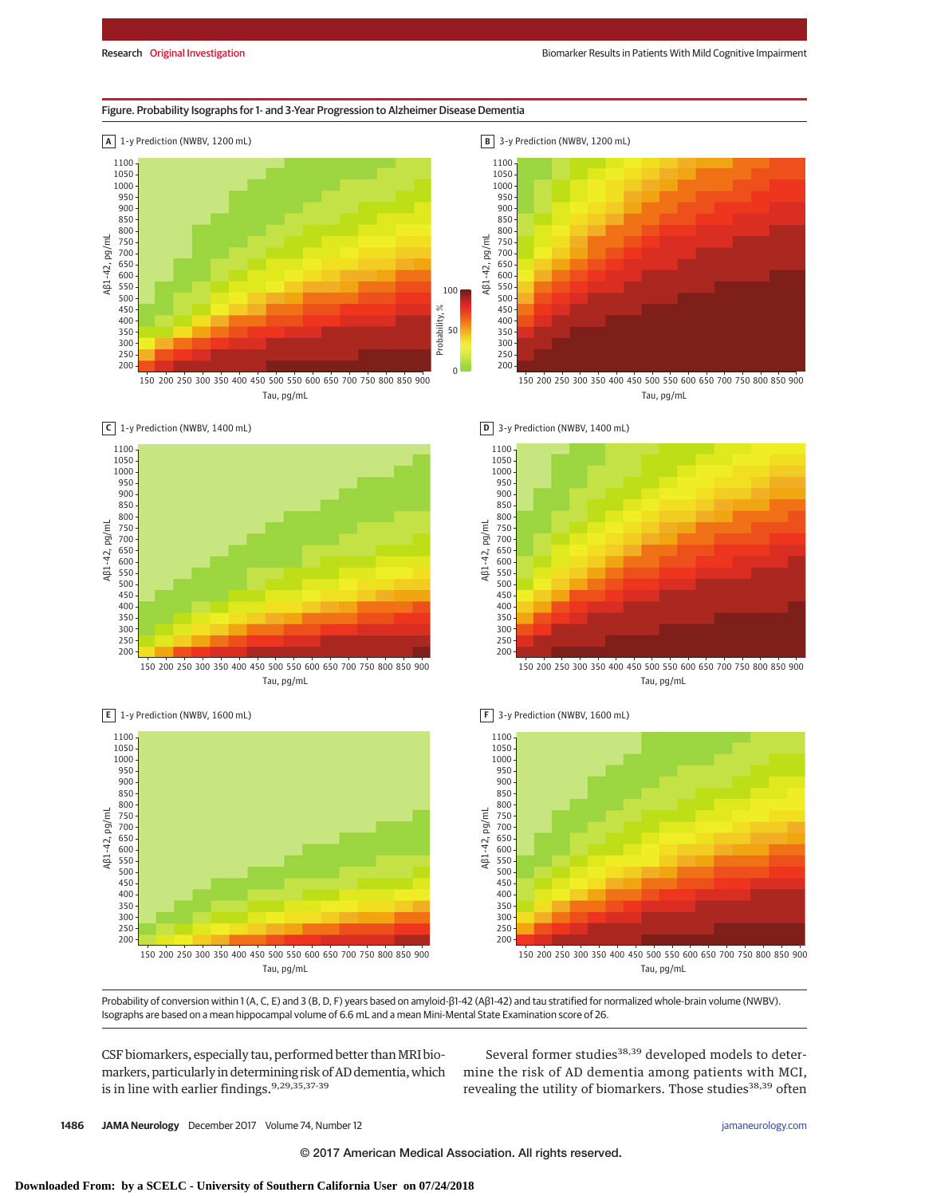### Figure. Probability Isographs for 1- and 3-Year Progression to Alzheimer Disease Dementia







Tau, pg/mL



**B** 3-y Prediction (NWBV, 1200 mL)



Tau, pg/mL



**F** 3-y Prediction (NWBV, 1600 mL)







Tau, pg/mL

Probability of conversion within 1 (A, C, E) and 3 (B, D, F) years based on amyloid-β1-42 (Aβ1-42) and tau stratified for normalized whole-brain volume (NWBV). Isographs are based on a mean hippocampal volume of 6.6 mL and a mean Mini-Mental State Examination score of 26.

CSF biomarkers, especially tau, performed better than MRI biomarkers, particularly in determining risk of AD dementia,which is in line with earlier findings.<sup>9,29,35,37-39</sup>

Several former studies<sup>38,39</sup> developed models to determine the risk of AD dementia among patients with MCI, revealing the utility of biomarkers. Those studies<sup>38,39</sup> often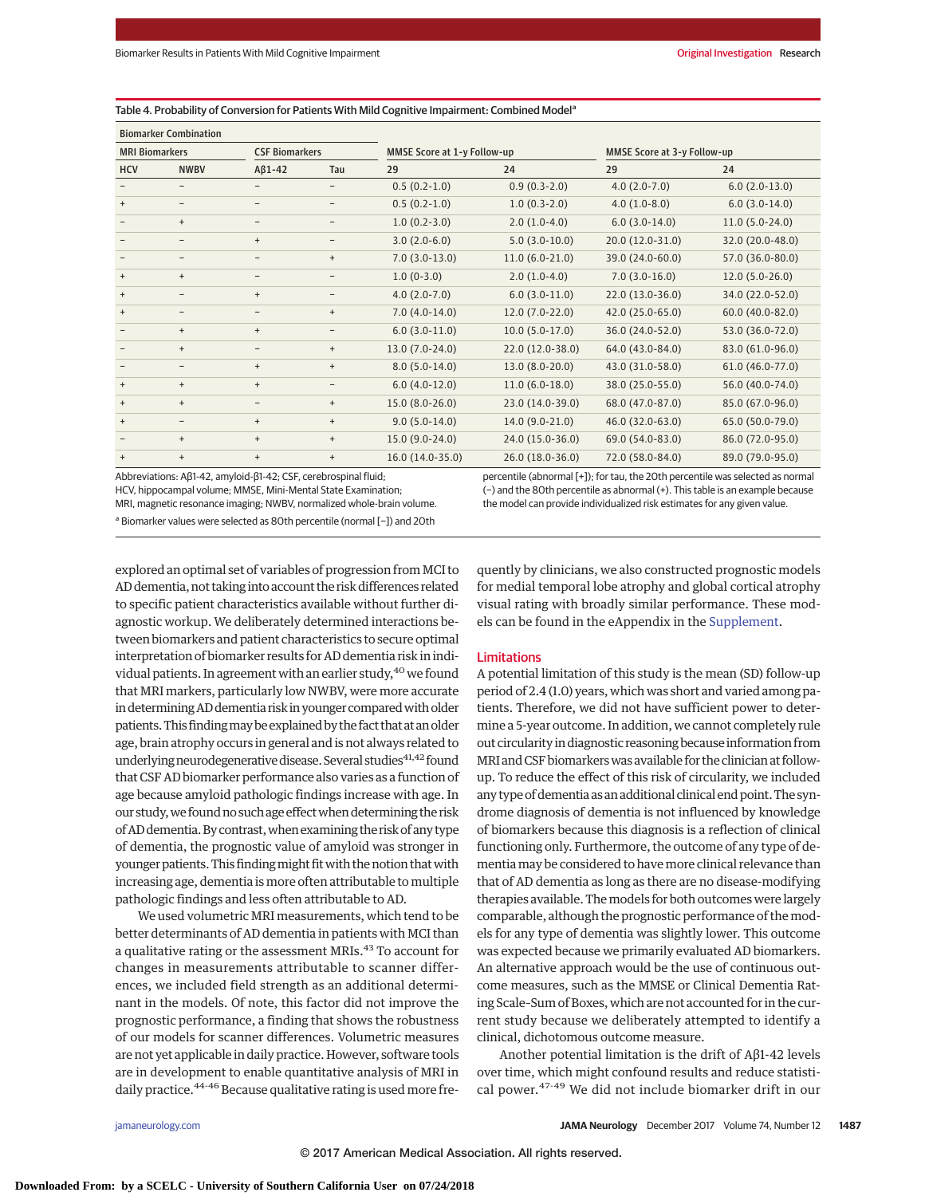#### Table 4. Probability of Conversion for Patients With Mild Cognitive Impairment: Combined Model<sup>a</sup>

| <b>Biomarker Combination</b>                   |                          |                             |                          |                             |                  |                  |                  |
|------------------------------------------------|--------------------------|-----------------------------|--------------------------|-----------------------------|------------------|------------------|------------------|
| <b>MRI Biomarkers</b><br><b>CSF Biomarkers</b> |                          | MMSE Score at 1-y Follow-up |                          | MMSE Score at 3-y Follow-up |                  |                  |                  |
| HCV                                            | <b>NWBV</b>              | $AB1-42$                    | Tau                      | 29                          | 24               | 29               | 24               |
|                                                | $\qquad \qquad -$        | -                           | -                        | $0.5(0.2-1.0)$              | $0.9(0.3-2.0)$   | $4.0(2.0-7.0)$   | $6.0(2.0-13.0)$  |
| $\ddot{}$                                      | $\qquad \qquad -$        | $\overline{\phantom{m}}$    | $\overline{\phantom{m}}$ | $0.5(0.2-1.0)$              | $1.0(0.3-2.0)$   | $4.0(1.0-8.0)$   | $6.0(3.0-14.0)$  |
|                                                | $+$                      | $\overline{\phantom{m}}$    | $\overline{\phantom{a}}$ | $1.0(0.2-3.0)$              | $2.0(1.0-4.0)$   | $6.0(3.0-14.0)$  | $11.0(5.0-24.0)$ |
|                                                | $\overline{\phantom{m}}$ | $\ddot{}$                   | $\overline{\phantom{a}}$ | $3.0(2.0-6.0)$              | $5.0(3.0-10.0)$  | 20.0 (12.0-31.0) | 32.0 (20.0-48.0) |
| $\overline{\phantom{m}}$                       | $\overline{\phantom{m}}$ | $\overline{\phantom{a}}$    | $\ddot{}$                | $7.0(3.0-13.0)$             | $11.0(6.0-21.0)$ | 39.0 (24.0-60.0) | 57.0 (36.0-80.0) |
| $\ddot{}$                                      | $\ddot{}$                | -                           | -                        | $1.0(0-3.0)$                | $2.0(1.0-4.0)$   | $7.0(3.0-16.0)$  | $12.0(5.0-26.0)$ |
| $\ddot{}$                                      | $\qquad \qquad -$        | $+$                         | $\overline{\phantom{0}}$ | $4.0(2.0-7.0)$              | $6.0(3.0-11.0)$  | 22.0 (13.0-36.0) | 34.0 (22.0-52.0) |
| $\ddot{}$                                      | $\qquad \qquad -$        | $\overline{\phantom{m}}$    | $\ddot{}$                | $7.0(4.0-14.0)$             | $12.0(7.0-22.0)$ | 42.0 (25.0-65.0) | 60.0 (40.0-82.0) |
|                                                | $\ddot{}$                | $\ddot{}$                   | $\overline{\phantom{a}}$ | $6.0(3.0-11.0)$             | $10.0(5.0-17.0)$ | 36.0 (24.0-52.0) | 53.0 (36.0-72.0) |
|                                                | $\ddot{}$                | $\overline{\phantom{m}}$    | $\ddot{}$                | $13.0(7.0-24.0)$            | 22.0 (12.0-38.0) | 64.0 (43.0-84.0) | 83.0 (61.0-96.0) |
|                                                | $\qquad \qquad -$        | $\ddot{}$                   | $\ddot{}$                | $8.0(5.0-14.0)$             | 13.0 (8.0-20.0)  | 43.0 (31.0-58.0) | 61.0 (46.0-77.0) |
| $^{\mathrm{+}}$                                | $\ddot{}$                | $\ddot{}$                   | $\overline{\phantom{a}}$ | $6.0(4.0-12.0)$             | $11.0(6.0-18.0)$ | 38.0 (25.0-55.0) | 56.0 (40.0-74.0) |
| $^{\mathrm{+}}$                                | $\ddot{}$                | $\overline{\phantom{a}}$    | $\ddot{}$                | $15.0(8.0-26.0)$            | 23.0 (14.0-39.0) | 68.0 (47.0-87.0) | 85.0 (67.0-96.0) |
| $^{\mathrm{+}}$                                | $\qquad \qquad -$        | $+$                         | $\ddot{}$                | $9.0(5.0-14.0)$             | $14.0(9.0-21.0)$ | 46.0 (32.0-63.0) | 65.0 (50.0-79.0) |
|                                                | $+$                      | $+$                         | $\ddot{}$                | 15.0 (9.0-24.0)             | 24.0 (15.0-36.0) | 69.0 (54.0-83.0) | 86.0 (72.0-95.0) |
| $\ddot{}$                                      | $\ddot{}$                | $\ddot{}$                   | $\ddot{}$                | 16.0 (14.0-35.0)            | 26.0 (18.0-36.0) | 72.0 (58.0-84.0) | 89.0 (79.0-95.0) |

Abbreviations: Aβ1-42, amyloid-β1-42; CSF, cerebrospinal fluid;

HCV, hippocampal volume; MMSE, Mini-Mental State Examination;

MRI, magnetic resonance imaging; NWBV, normalized whole-brain volume. <sup>a</sup> Biomarker values were selected as 80th percentile (normal [−]) and 20th

percentile (abnormal [+]); for tau, the 20th percentile was selected as normal (−) and the 80th percentile as abnormal (+). This table is an example because the model can provide individualized risk estimates for any given value.

explored an optimal set of variables of progression from MCI to AD dementia, not taking into account the risk differences related to specific patient characteristics available without further diagnostic workup. We deliberately determined interactions between biomarkers and patient characteristics to secure optimal interpretation of biomarker results for AD dementia risk in individual patients. In agreement with an earlier study,  $40$  we found that MRI markers, particularly low NWBV, were more accurate in determining AD dementia risk in younger compared with older patients. This finding may be explained by the fact that at an older age, brain atrophy occurs in general and is not always related to underlying neurodegenerative disease. Several studies $41,42$  found that CSF AD biomarker performance also varies as a function of age because amyloid pathologic findings increase with age. In our study, we found no such age effect when determining the risk ofADdementia.Bycontrast,when examining the riskof any type of dementia, the prognostic value of amyloid was stronger in younger patients. This finding might fit with the notion that with increasing age, dementia is more often attributable to multiple pathologic findings and less often attributable to AD.

We used volumetric MRI measurements, which tend to be better determinants of AD dementia in patients with MCI than a qualitative rating or the assessment MRIs.<sup>43</sup> To account for changes in measurements attributable to scanner differences, we included field strength as an additional determinant in the models. Of note, this factor did not improve the prognostic performance, a finding that shows the robustness of our models for scanner differences. Volumetric measures are not yet applicable in daily practice.However, software tools are in development to enable quantitative analysis of MRI in daily practice.<sup>44-46</sup> Because qualitative rating is used more frequently by clinicians, we also constructed prognostic models for medial temporal lobe atrophy and global cortical atrophy visual rating with broadly similar performance. These models can be found in the eAppendix in the [Supplement.](http://jama.jamanetwork.com/article.aspx?doi=10.1001/jamaneurol.2017.2712&utm_campaign=articlePDF%26utm_medium=articlePDFlink%26utm_source=articlePDF%26utm_content=jamaneurol.2017.2712)

### Limitations

A potential limitation of this study is the mean (SD) follow-up period of 2.4 (1.0) years, which was short and varied among patients. Therefore, we did not have sufficient power to determine a 5-year outcome. In addition, we cannot completely rule out circularity in diagnostic reasoning because information from MRI andCSF biomarkerswas available for the clinician at followup. To reduce the effect of this risk of circularity, we included any type of dementia as an additional clinical end point. The syndrome diagnosis of dementia is not influenced by knowledge of biomarkers because this diagnosis is a reflection of clinical functioning only. Furthermore, the outcome of any type of dementiamay be considered to havemore clinical relevance than that of AD dementia as long as there are no disease-modifying therapies available. Themodels for both outcomes were largely comparable, although the prognostic performance of themodels for any type of dementia was slightly lower. This outcome was expected because we primarily evaluated AD biomarkers. An alternative approach would be the use of continuous outcome measures, such as the MMSE or Clinical Dementia Rating Scale–Sum of Boxes, which are not accounted for in the current study because we deliberately attempted to identify a clinical, dichotomous outcome measure.

Another potential limitation is the drift of Aβ1-42 levels over time, which might confound results and reduce statistical power.47-49 We did not include biomarker drift in our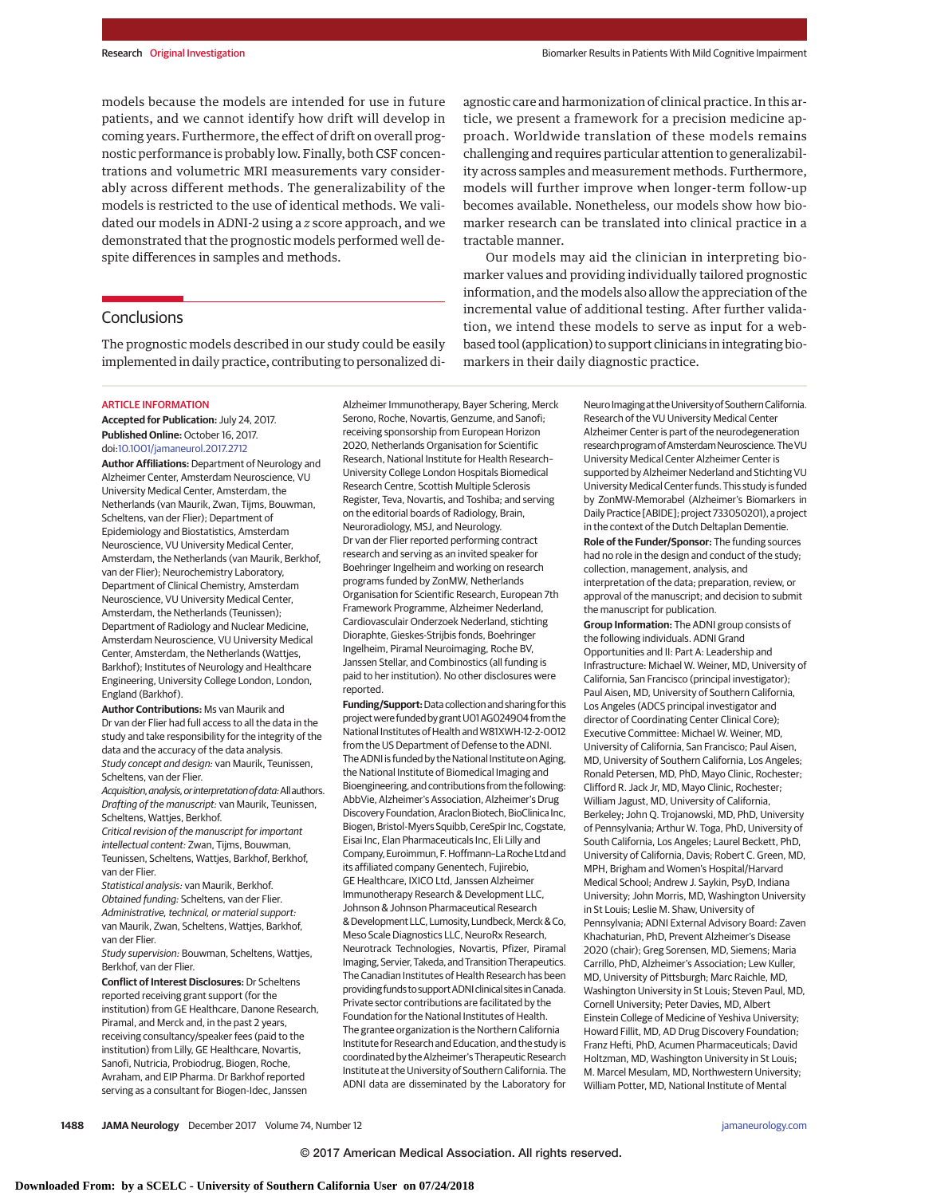models because the models are intended for use in future patients, and we cannot identify how drift will develop in coming years. Furthermore, the effect of drift on overall prognostic performance is probably low. Finally, both CSF concentrations and volumetric MRI measurements vary considerably across different methods. The generalizability of the models is restricted to the use of identical methods. We validated our models in ADNI-2 using a *z* score approach, and we demonstrated that the prognostic models performed well despite differences in samples and methods.

### **Conclusions**

The prognostic models described in our study could be easily implemented in daily practice, contributing to personalized di-

#### ARTICLE INFORMATION

**Accepted for Publication:** July 24, 2017. **Published Online:** October 16, 2017. doi[:10.1001/jamaneurol.2017.2712](http://jama.jamanetwork.com/article.aspx?doi=10.1001/jamaneurol.2017.2712&utm_campaign=articlePDF%26utm_medium=articlePDFlink%26utm_source=articlePDF%26utm_content=jamaneurol.2017.2712)

**Author Affiliations:** Department of Neurology and Alzheimer Center, Amsterdam Neuroscience, VU University Medical Center, Amsterdam, the Netherlands (van Maurik, Zwan, Tijms, Bouwman, Scheltens, van der Flier); Department of Epidemiology and Biostatistics, Amsterdam Neuroscience, VU University Medical Center, Amsterdam, the Netherlands (van Maurik, Berkhof, van der Flier); Neurochemistry Laboratory, Department of Clinical Chemistry, Amsterdam Neuroscience, VU University Medical Center, Amsterdam, the Netherlands (Teunissen); Department of Radiology and Nuclear Medicine, Amsterdam Neuroscience, VU University Medical Center, Amsterdam, the Netherlands (Wattjes, Barkhof); Institutes of Neurology and Healthcare Engineering, University College London, London, England (Barkhof).

**Author Contributions:** Ms van Maurik and Dr van der Flier had full access to all the data in the study and take responsibility for the integrity of the data and the accuracy of the data analysis. Study concept and design: van Maurik, Teunissen, Scheltens, van der Flier.

Acquisition, analysis, or interpretation of data: All authors. Drafting of the manuscript: van Maurik, Teunissen, Scheltens, Wattjes, Berkhof.

Critical revision of the manuscript for important intellectual content: Zwan, Tijms, Bouwman, Teunissen, Scheltens, Wattjes, Barkhof, Berkhof, van der Flier.

Statistical analysis: van Maurik, Berkhof. Obtained funding: Scheltens, van der Flier. Administrative, technical, or material support: van Maurik, Zwan, Scheltens, Wattjes, Barkhof, van der Flier.

Study supervision: Bouwman, Scheltens, Wattjes, Berkhof, van der Flier.

**Conflict of Interest Disclosures:** Dr Scheltens reported receiving grant support (for the institution) from GE Healthcare, Danone Research, Piramal, and Merck and, in the past 2 years, receiving consultancy/speaker fees (paid to the institution) from Lilly, GE Healthcare, Novartis, Sanofi, Nutricia, Probiodrug, Biogen, Roche, Avraham, and EIP Pharma. Dr Barkhof reported serving as a consultant for Biogen-Idec, Janssen

Alzheimer Immunotherapy, Bayer Schering, Merck Serono, Roche, Novartis, Genzume, and Sanofi; receiving sponsorship from European Horizon 2020, Netherlands Organisation for Scientific Research, National Institute for Health Research– University College London Hospitals Biomedical Research Centre, Scottish Multiple Sclerosis Register, Teva, Novartis, and Toshiba; and serving on the editorial boards of Radiology, Brain, Neuroradiology, MSJ, and Neurology. Dr van der Flier reported performing contract research and serving as an invited speaker for Boehringer Ingelheim and working on research programs funded by ZonMW, Netherlands Organisation for Scientific Research, European 7th Framework Programme, Alzheimer Nederland, Cardiovasculair Onderzoek Nederland, stichting Dioraphte, Gieskes-Strijbis fonds, Boehringer Ingelheim, Piramal Neuroimaging, Roche BV, Janssen Stellar, and Combinostics (all funding is paid to her institution). No other disclosures were reported.

**Funding/Support:**Data collection and sharing for this project were funded by grant U01AG024904 from the National Institutes of Health and W81XWH-12-2-0012 from the US Department of Defense to the ADNI. The ADNI is funded by the National Institute on Aging, the National Institute of Biomedical Imaging and Bioengineering, and contributions from the following: AbbVie, Alzheimer's Association, Alzheimer's Drug Discovery Foundation, Araclon Biotech, BioClinica Inc, Biogen, Bristol-Myers Squibb, CereSpir Inc, Cogstate, Eisai Inc, Elan Pharmaceuticals Inc, Eli Lilly and Company, Euroimmun, F.Hoffmann–La RocheLtd and its affiliated company Genentech, Fujirebio, GE Healthcare, IXICO Ltd, Janssen Alzheimer Immunotherapy Research & Development LLC, Johnson & Johnson Pharmaceutical Research &DevelopmentLLC,Lumosity,Lundbeck,Merck& Co, Meso Scale Diagnostics LLC, NeuroRx Research, Neurotrack Technologies, Novartis, Pfizer, Piramal Imaging, Servier, Takeda, and Transition Therapeutics. The Canadian Institutes of Health Research has been providing funds tosupportADNIclinicalsitesinCanada. Private sector contributions are facilitated by the Foundation for the National Institutes of Health. The grantee organization is the Northern California Institute for Research and Education, and the study is coordinated by the Alzheimer's Therapeutic Research Institute at the University of Southern California. The ADNI data are disseminated by the Laboratory for

agnostic care and harmonization of clinical practice. In this article, we present a framework for a precision medicine approach. Worldwide translation of these models remains challenging and requires particular attention to generalizability across samples and measurement methods. Furthermore, models will further improve when longer-term follow-up becomes available. Nonetheless, our models show how biomarker research can be translated into clinical practice in a tractable manner.

Our models may aid the clinician in interpreting biomarker values and providing individually tailored prognostic information, and the models also allow the appreciation of the incremental value of additional testing. After further validation, we intend these models to serve as input for a webbased tool (application) to support clinicians in integrating biomarkers in their daily diagnostic practice.

> Neuro Imaging at the University of Southern California. Research of the VU University Medical Center Alzheimer Center is part of the neurodegeneration research program of Amsterdam Neuroscience. The VU University Medical Center Alzheimer Center is supported by Alzheimer Nederland and Stichting VU University Medical Center funds. This study is funded by ZonMW-Memorabel (Alzheimer's Biomarkers in Daily Practice [ABIDE]; project 733050201), a project in the context of the Dutch Deltaplan Dementie. **Role of the Funder/Sponsor:** The funding sources had no role in the design and conduct of the study; collection, management, analysis, and interpretation of the data; preparation, review, or approval of the manuscript; and decision to submit the manuscript for publication.

> **Group Information:** The ADNI group consists of the following individuals. ADNI Grand Opportunities and II: Part A: Leadership and Infrastructure: Michael W. Weiner, MD, University of California, San Francisco (principal investigator); Paul Aisen, MD, University of Southern California, Los Angeles (ADCS principal investigator and director of Coordinating Center Clinical Core); Executive Committee: Michael W. Weiner, MD, University of California, San Francisco; Paul Aisen, MD, University of Southern California, Los Angeles; Ronald Petersen, MD, PhD, Mayo Clinic, Rochester; Clifford R. Jack Jr, MD, Mayo Clinic, Rochester; William Jagust, MD, University of California, Berkeley; John Q. Trojanowski, MD, PhD, University of Pennsylvania; Arthur W. Toga, PhD, University of South California, Los Angeles; Laurel Beckett, PhD, University of California, Davis; Robert C. Green, MD, MPH, Brigham and Women's Hospital/Harvard Medical School; Andrew J. Saykin, PsyD, Indiana University; John Morris, MD, Washington University in St Louis; Leslie M. Shaw, University of Pennsylvania; ADNI External Advisory Board: Zaven Khachaturian, PhD, Prevent Alzheimer's Disease 2020 (chair); Greg Sorensen, MD, Siemens; Maria Carrillo, PhD, Alzheimer's Association; Lew Kuller, MD, University of Pittsburgh; Marc Raichle, MD, Washington University in St Louis; Steven Paul, MD, Cornell University; Peter Davies, MD, Albert Einstein College of Medicine of Yeshiva University; Howard Fillit, MD, AD Drug Discovery Foundation; Franz Hefti, PhD, Acumen Pharmaceuticals; David Holtzman, MD, Washington University in St Louis; M. Marcel Mesulam, MD, Northwestern University; William Potter, MD, National Institute of Mental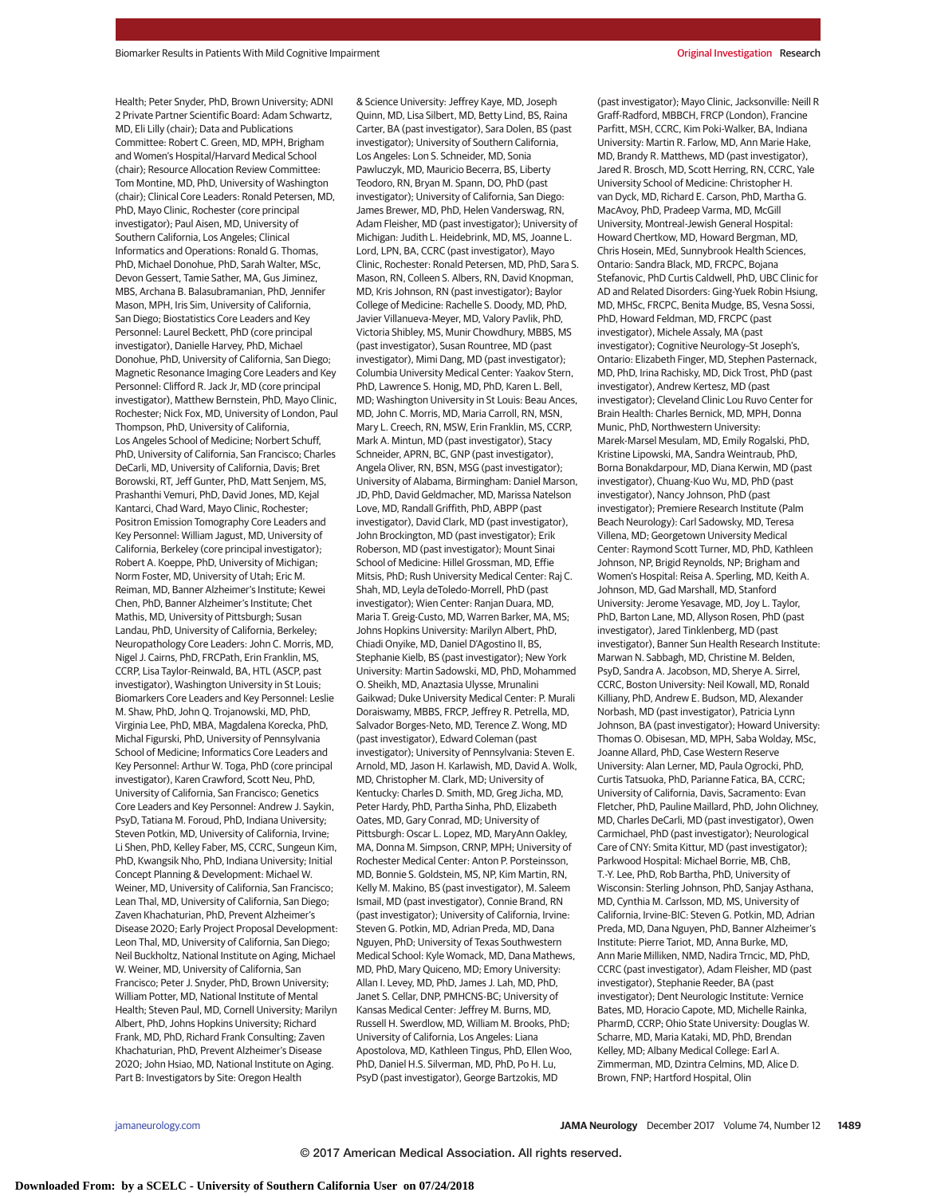Health; Peter Snyder, PhD, Brown University; ADNI 2 Private Partner Scientific Board: Adam Schwartz, MD, Eli Lilly (chair); Data and Publications Committee: Robert C. Green, MD, MPH, Brigham and Women's Hospital/Harvard Medical School (chair); Resource Allocation Review Committee: Tom Montine, MD, PhD, University of Washington (chair); Clinical Core Leaders: Ronald Petersen, MD, PhD, Mayo Clinic, Rochester (core principal investigator); Paul Aisen, MD, University of Southern California, Los Angeles; Clinical Informatics and Operations: Ronald G. Thomas, PhD, Michael Donohue, PhD, Sarah Walter, MSc, Devon Gessert, Tamie Sather, MA, Gus Jiminez, MBS, Archana B. Balasubramanian, PhD, Jennifer Mason, MPH, Iris Sim, University of California, San Diego; Biostatistics Core Leaders and Key Personnel: Laurel Beckett, PhD (core principal investigator), Danielle Harvey, PhD, Michael Donohue, PhD, University of California, San Diego; Magnetic Resonance Imaging Core Leaders and Key Personnel: Clifford R. Jack Jr, MD (core principal investigator), Matthew Bernstein, PhD, Mayo Clinic, Rochester; Nick Fox, MD, University of London, Paul Thompson, PhD, University of California, Los Angeles School of Medicine; Norbert Schuff, PhD, University of California, San Francisco; Charles DeCarli, MD, University of California, Davis; Bret Borowski, RT, Jeff Gunter, PhD, Matt Senjem, MS, Prashanthi Vemuri, PhD, David Jones, MD, Kejal Kantarci, Chad Ward, Mayo Clinic, Rochester; Positron Emission Tomography Core Leaders and Key Personnel: William Jagust, MD, University of California, Berkeley (core principal investigator); Robert A. Koeppe, PhD, University of Michigan; Norm Foster, MD, University of Utah; Eric M. Reiman, MD, Banner Alzheimer's Institute; Kewei Chen, PhD, Banner Alzheimer's Institute; Chet Mathis, MD, University of Pittsburgh; Susan Landau, PhD, University of California, Berkeley; Neuropathology Core Leaders: John C. Morris, MD, Nigel J. Cairns, PhD, FRCPath, Erin Franklin, MS, CCRP, Lisa Taylor-Reinwald, BA, HTL (ASCP, past investigator), Washington University in St Louis; Biomarkers Core Leaders and Key Personnel: Leslie M. Shaw, PhD, John Q. Trojanowski, MD, PhD, Virginia Lee, PhD, MBA, Magdalena Korecka, PhD, Michal Figurski, PhD, University of Pennsylvania School of Medicine; Informatics Core Leaders and Key Personnel: Arthur W. Toga, PhD (core principal investigator), Karen Crawford, Scott Neu, PhD, University of California, San Francisco; Genetics Core Leaders and Key Personnel: Andrew J. Saykin, PsyD, Tatiana M. Foroud, PhD, Indiana University; Steven Potkin, MD, University of California, Irvine; Li Shen, PhD, Kelley Faber, MS, CCRC, Sungeun Kim, PhD, Kwangsik Nho, PhD, Indiana University; Initial Concept Planning & Development: Michael W. Weiner, MD, University of California, San Francisco; Lean Thal, MD, University of California, San Diego; Zaven Khachaturian, PhD, Prevent Alzheimer's Disease 2020; Early Project Proposal Development: Leon Thal, MD, University of California, San Diego; Neil Buckholtz, National Institute on Aging, Michael W. Weiner, MD, University of California, San Francisco; Peter J. Snyder, PhD, Brown University; William Potter, MD, National Institute of Mental Health; Steven Paul, MD, Cornell University; Marilyn Albert, PhD, Johns Hopkins University; Richard Frank, MD, PhD, Richard Frank Consulting; Zaven Khachaturian, PhD, Prevent Alzheimer's Disease 2020; John Hsiao, MD, National Institute on Aging. Part B: Investigators by Site: Oregon Health

& Science University: Jeffrey Kaye, MD, Joseph Quinn, MD, Lisa Silbert, MD, Betty Lind, BS, Raina Carter, BA (past investigator), Sara Dolen, BS (past investigator); University of Southern California, Los Angeles: Lon S. Schneider, MD, Sonia Pawluczyk, MD, Mauricio Becerra, BS, Liberty Teodoro, RN, Bryan M. Spann, DO, PhD (past investigator); University of California, San Diego: James Brewer, MD, PhD, Helen Vanderswag, RN, Adam Fleisher, MD (past investigator); University of Michigan: Judith L. Heidebrink, MD, MS, Joanne L. Lord, LPN, BA, CCRC (past investigator), Mayo Clinic, Rochester: Ronald Petersen, MD, PhD, Sara S. Mason, RN, Colleen S. Albers, RN, David Knopman, MD, Kris Johnson, RN (past investigator); Baylor College of Medicine: Rachelle S. Doody, MD, PhD, Javier Villanueva-Meyer, MD, Valory Pavlik, PhD, Victoria Shibley, MS, Munir Chowdhury, MBBS, MS (past investigator), Susan Rountree, MD (past investigator), Mimi Dang, MD (past investigator); Columbia University Medical Center: Yaakov Stern, PhD, Lawrence S. Honig, MD, PhD, Karen L. Bell, MD; Washington University in St Louis: Beau Ances, MD, John C. Morris, MD, Maria Carroll, RN, MSN, Mary L. Creech, RN, MSW, Erin Franklin, MS, CCRP, Mark A. Mintun, MD (past investigator), Stacy Schneider, APRN, BC, GNP (past investigator), Angela Oliver, RN, BSN, MSG (past investigator); University of Alabama, Birmingham: Daniel Marson, JD, PhD, David Geldmacher, MD, Marissa Natelson Love, MD, Randall Griffith, PhD, ABPP (past investigator), David Clark, MD (past investigator), John Brockington, MD (past investigator); Erik Roberson, MD (past investigator); Mount Sinai School of Medicine: Hillel Grossman, MD, Effie Mitsis, PhD; Rush University Medical Center: Raj C. Shah, MD, Leyla deToledo-Morrell, PhD (past investigator); Wien Center: Ranjan Duara, MD, Maria T. Greig-Custo, MD, Warren Barker, MA, MS; Johns Hopkins University: Marilyn Albert, PhD, Chiadi Onyike, MD, Daniel D'Agostino II, BS, Stephanie Kielb, BS (past investigator); New York University: Martin Sadowski, MD, PhD, Mohammed O. Sheikh, MD, Anaztasia Ulysse, Mrunalini Gaikwad; Duke University Medical Center: P. Murali Doraiswamy, MBBS, FRCP, Jeffrey R. Petrella, MD, Salvador Borges-Neto, MD, Terence Z. Wong, MD (past investigator), Edward Coleman (past investigator); University of Pennsylvania: Steven E. Arnold, MD, Jason H. Karlawish, MD, David A. Wolk, MD, Christopher M. Clark, MD; University of Kentucky: Charles D. Smith, MD, Greg Jicha, MD, Peter Hardy, PhD, Partha Sinha, PhD, Elizabeth Oates, MD, Gary Conrad, MD; University of Pittsburgh: Oscar L. Lopez, MD, MaryAnn Oakley, MA, Donna M. Simpson, CRNP, MPH; University of Rochester Medical Center: Anton P. Porsteinsson, MD, Bonnie S. Goldstein, MS, NP, Kim Martin, RN, Kelly M. Makino, BS (past investigator), M. Saleem Ismail, MD (past investigator), Connie Brand, RN (past investigator); University of California, Irvine: Steven G. Potkin, MD, Adrian Preda, MD, Dana Nguyen, PhD; University of Texas Southwestern Medical School: Kyle Womack, MD, Dana Mathews, MD, PhD, Mary Quiceno, MD; Emory University: Allan I. Levey, MD, PhD, James J. Lah, MD, PhD, Janet S. Cellar, DNP, PMHCNS-BC; University of Kansas Medical Center: Jeffrey M. Burns, MD, Russell H. Swerdlow, MD, William M. Brooks, PhD; University of California, Los Angeles: Liana Apostolova, MD, Kathleen Tingus, PhD, Ellen Woo, PhD, Daniel H.S. Silverman, MD, PhD, Po H. Lu, PsyD (past investigator), George Bartzokis, MD

(past investigator); Mayo Clinic, Jacksonville: Neill R Graff-Radford, MBBCH, FRCP (London), Francine Parfitt, MSH, CCRC, Kim Poki-Walker, BA, Indiana University: Martin R. Farlow, MD, Ann Marie Hake, MD, Brandy R. Matthews, MD (past investigator), Jared R. Brosch, MD, Scott Herring, RN, CCRC, Yale University School of Medicine: Christopher H. van Dyck, MD, Richard E. Carson, PhD, Martha G. MacAvoy, PhD, Pradeep Varma, MD, McGill University, Montreal-Jewish General Hospital: Howard Chertkow, MD, Howard Bergman, MD, Chris Hosein, MEd, Sunnybrook Health Sciences, Ontario: Sandra Black, MD, FRCPC, Bojana Stefanovic, PhD Curtis Caldwell, PhD, UBC Clinic for AD and Related Disorders: Ging-Yuek Robin Hsiung, MD, MHSc, FRCPC, Benita Mudge, BS, Vesna Sossi, PhD, Howard Feldman, MD, FRCPC (past investigator), Michele Assaly, MA (past investigator); Cognitive Neurology–St Joseph's, Ontario: Elizabeth Finger, MD, Stephen Pasternack, MD, PhD, Irina Rachisky, MD, Dick Trost, PhD (past investigator), Andrew Kertesz, MD (past investigator); Cleveland Clinic Lou Ruvo Center for Brain Health: Charles Bernick, MD, MPH, Donna Munic, PhD, Northwestern University: Marek-Marsel Mesulam, MD, Emily Rogalski, PhD, Kristine Lipowski, MA, Sandra Weintraub, PhD, Borna Bonakdarpour, MD, Diana Kerwin, MD (past investigator), Chuang-Kuo Wu, MD, PhD (past investigator), Nancy Johnson, PhD (past investigator); Premiere Research Institute (Palm Beach Neurology): Carl Sadowsky, MD, Teresa Villena, MD; Georgetown University Medical Center: Raymond Scott Turner, MD, PhD, Kathleen Johnson, NP, Brigid Reynolds, NP; Brigham and Women's Hospital: Reisa A. Sperling, MD, Keith A. Johnson, MD, Gad Marshall, MD, Stanford University: Jerome Yesavage, MD, Joy L. Taylor, PhD, Barton Lane, MD, Allyson Rosen, PhD (past investigator), Jared Tinklenberg, MD (past investigator), Banner Sun Health Research Institute: Marwan N. Sabbagh, MD, Christine M. Belden, PsyD, Sandra A. Jacobson, MD, Sherye A. Sirrel, CCRC, Boston University: Neil Kowall, MD, Ronald Killiany, PhD, Andrew E. Budson, MD, Alexander Norbash, MD (past investigator), Patricia Lynn Johnson, BA (past investigator); Howard University: Thomas O. Obisesan, MD, MPH, Saba Wolday, MSc, Joanne Allard, PhD, Case Western Reserve University: Alan Lerner, MD, Paula Ogrocki, PhD, Curtis Tatsuoka, PhD, Parianne Fatica, BA, CCRC; University of California, Davis, Sacramento: Evan Fletcher, PhD, Pauline Maillard, PhD, John Olichney, MD, Charles DeCarli, MD (past investigator), Owen Carmichael, PhD (past investigator); Neurological Care of CNY: Smita Kittur, MD (past investigator); Parkwood Hospital: Michael Borrie, MB, ChB, T.-Y. Lee, PhD, Rob Bartha, PhD, University of Wisconsin: Sterling Johnson, PhD, Sanjay Asthana, MD, Cynthia M. Carlsson, MD, MS, University of California, Irvine-BIC: Steven G. Potkin, MD, Adrian Preda, MD, Dana Nguyen, PhD, Banner Alzheimer's Institute: Pierre Tariot, MD, Anna Burke, MD, Ann Marie Milliken, NMD, Nadira Trncic, MD, PhD, CCRC (past investigator), Adam Fleisher, MD (past investigator), Stephanie Reeder, BA (past investigator); Dent Neurologic Institute: Vernice Bates, MD, Horacio Capote, MD, Michelle Rainka, PharmD, CCRP; Ohio State University: Douglas W. Scharre, MD, Maria Kataki, MD, PhD, Brendan Kelley, MD; Albany Medical College: Earl A. Zimmerman, MD, Dzintra Celmins, MD, Alice D. Brown, FNP; Hartford Hospital, Olin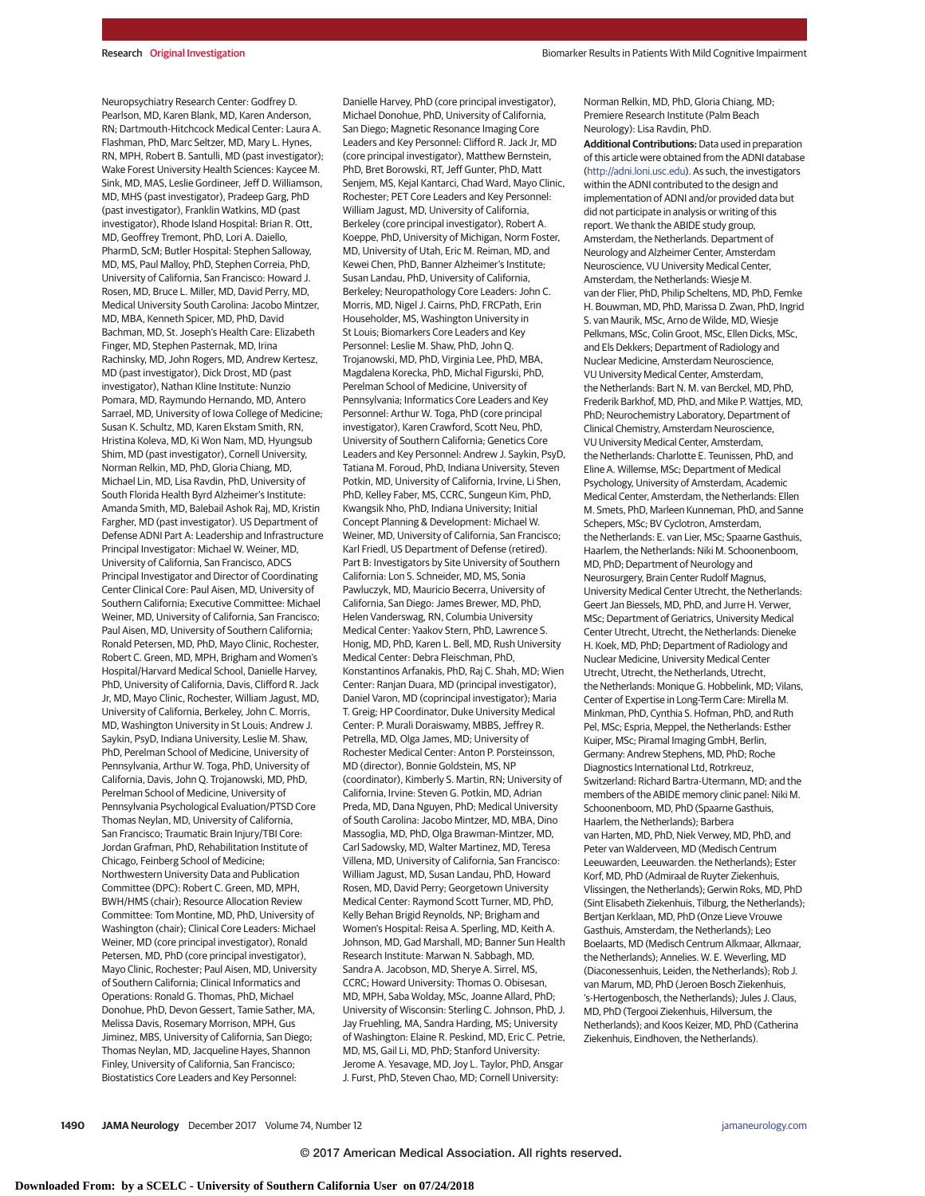Neuropsychiatry Research Center: Godfrey D. Pearlson, MD, Karen Blank, MD, Karen Anderson, RN; Dartmouth-Hitchcock Medical Center: Laura A. Flashman, PhD, Marc Seltzer, MD, Mary L. Hynes, RN, MPH, Robert B. Santulli, MD (past investigator); Wake Forest University Health Sciences: Kaycee M. Sink, MD, MAS, Leslie Gordineer, Jeff D. Williamson, MD, MHS (past investigator), Pradeep Garg, PhD (past investigator), Franklin Watkins, MD (past investigator), Rhode Island Hospital: Brian R. Ott, MD, Geoffrey Tremont, PhD, Lori A. Daiello, PharmD, ScM; Butler Hospital: Stephen Salloway, MD, MS, Paul Malloy, PhD, Stephen Correia, PhD, University of California, San Francisco: Howard J. Rosen, MD, Bruce L. Miller, MD, David Perry, MD, Medical University South Carolina: Jacobo Mintzer, MD, MBA, Kenneth Spicer, MD, PhD, David Bachman, MD, St. Joseph's Health Care: Elizabeth Finger, MD, Stephen Pasternak, MD, Irina Rachinsky, MD, John Rogers, MD, Andrew Kertesz, MD (past investigator), Dick Drost, MD (past investigator), Nathan Kline Institute: Nunzio Pomara, MD, Raymundo Hernando, MD, Antero Sarrael, MD, University of Iowa College of Medicine; Susan K. Schultz, MD, Karen Ekstam Smith, RN, Hristina Koleva, MD, Ki Won Nam, MD, Hyungsub Shim, MD (past investigator), Cornell University, Norman Relkin, MD, PhD, Gloria Chiang, MD, Michael Lin, MD, Lisa Ravdin, PhD, University of South Florida Health Byrd Alzheimer's Institute: Amanda Smith, MD, Balebail Ashok Raj, MD, Kristin Fargher, MD (past investigator). US Department of Defense ADNI Part A: Leadership and Infrastructure Principal Investigator: Michael W. Weiner, MD, University of California, San Francisco, ADCS Principal Investigator and Director of Coordinating Center Clinical Core: Paul Aisen, MD, University of Southern California; Executive Committee: Michael Weiner, MD, University of California, San Francisco; Paul Aisen, MD, University of Southern California; Ronald Petersen, MD, PhD, Mayo Clinic, Rochester, Robert C. Green, MD, MPH, Brigham and Women's Hospital/Harvard Medical School, Danielle Harvey, PhD, University of California, Davis, Clifford R. Jack Jr, MD, Mayo Clinic, Rochester, William Jagust, MD, University of California, Berkeley, John C. Morris, MD, Washington University in St Louis; Andrew J. Saykin, PsyD, Indiana University, Leslie M. Shaw, PhD, Perelman School of Medicine, University of Pennsylvania, Arthur W. Toga, PhD, University of California, Davis, John Q. Trojanowski, MD, PhD, Perelman School of Medicine, University of Pennsylvania Psychological Evaluation/PTSD Core Thomas Neylan, MD, University of California, San Francisco; Traumatic Brain Injury/TBI Core: Jordan Grafman, PhD, Rehabilitation Institute of Chicago, Feinberg School of Medicine; Northwestern University Data and Publication Committee (DPC): Robert C. Green, MD, MPH, BWH/HMS (chair); Resource Allocation Review Committee: Tom Montine, MD, PhD, University of Washington (chair); Clinical Core Leaders: Michael Weiner, MD (core principal investigator), Ronald Petersen, MD, PhD (core principal investigator), Mayo Clinic, Rochester; Paul Aisen, MD, University of Southern California; Clinical Informatics and Operations: Ronald G. Thomas, PhD, Michael Donohue, PhD, Devon Gessert, Tamie Sather, MA, Melissa Davis, Rosemary Morrison, MPH, Gus Jiminez, MBS, University of California, San Diego; Thomas Neylan, MD, Jacqueline Hayes, Shannon Finley, University of California, San Francisco; Biostatistics Core Leaders and Key Personnel:

Danielle Harvey, PhD (core principal investigator), Michael Donohue, PhD, University of California, San Diego; Magnetic Resonance Imaging Core Leaders and Key Personnel: Clifford R. Jack Jr, MD (core principal investigator), Matthew Bernstein, PhD, Bret Borowski, RT, Jeff Gunter, PhD, Matt Senjem, MS, Kejal Kantarci, Chad Ward, Mayo Clinic, Rochester; PET Core Leaders and Key Personnel: William Jagust, MD, University of California, Berkeley (core principal investigator), Robert A. Koeppe, PhD, University of Michigan, Norm Foster, MD, University of Utah, Eric M. Reiman, MD, and Kewei Chen, PhD, Banner Alzheimer's Institute; Susan Landau, PhD, University of California, Berkeley; Neuropathology Core Leaders: John C. Morris, MD, Nigel J. Cairns, PhD, FRCPath, Erin Householder, MS, Washington University in St Louis; Biomarkers Core Leaders and Key Personnel: Leslie M. Shaw, PhD, John Q. Trojanowski, MD, PhD, Virginia Lee, PhD, MBA, Magdalena Korecka, PhD, Michal Figurski, PhD, Perelman School of Medicine, University of Pennsylvania; Informatics Core Leaders and Key Personnel: Arthur W. Toga, PhD (core principal investigator), Karen Crawford, Scott Neu, PhD, University of Southern California; Genetics Core Leaders and Key Personnel: Andrew J. Saykin, PsyD, Tatiana M. Foroud, PhD, Indiana University, Steven Potkin, MD, University of California, Irvine, Li Shen, PhD, Kelley Faber, MS, CCRC, Sungeun Kim, PhD, Kwangsik Nho, PhD, Indiana University; Initial Concept Planning & Development: Michael W. Weiner, MD, University of California, San Francisco; Karl Friedl, US Department of Defense (retired). Part B: Investigators by Site University of Southern California: Lon S. Schneider, MD, MS, Sonia Pawluczyk, MD, Mauricio Becerra, University of California, San Diego: James Brewer, MD, PhD, Helen Vanderswag, RN, Columbia University Medical Center: Yaakov Stern, PhD, Lawrence S. Honig, MD, PhD, Karen L. Bell, MD, Rush University Medical Center: Debra Fleischman, PhD, Konstantinos Arfanakis, PhD, Raj C. Shah, MD; Wien Center: Ranjan Duara, MD (principal investigator), Daniel Varon, MD (coprincipal investigator); Maria T. Greig; HP Coordinator, Duke University Medical Center: P. Murali Doraiswamy, MBBS, Jeffrey R. Petrella, MD, Olga James, MD; University of Rochester Medical Center: Anton P. Porsteinsson, MD (director), Bonnie Goldstein, MS, NP (coordinator), Kimberly S. Martin, RN; University of California, Irvine: Steven G. Potkin, MD, Adrian Preda, MD, Dana Nguyen, PhD; Medical University of South Carolina: Jacobo Mintzer, MD, MBA, Dino Massoglia, MD, PhD, Olga Brawman-Mintzer, MD, Carl Sadowsky, MD, Walter Martinez, MD, Teresa Villena, MD, University of California, San Francisco: William Jagust, MD, Susan Landau, PhD, Howard Rosen, MD, David Perry; Georgetown University Medical Center: Raymond Scott Turner, MD, PhD, Kelly Behan Brigid Reynolds, NP; Brigham and Women's Hospital: Reisa A. Sperling, MD, Keith A. Johnson, MD, Gad Marshall, MD; Banner Sun Health Research Institute: Marwan N. Sabbagh, MD, Sandra A. Jacobson, MD, Sherye A. Sirrel, MS, CCRC; Howard University: Thomas O. Obisesan, MD, MPH, Saba Wolday, MSc, Joanne Allard, PhD; University of Wisconsin: Sterling C. Johnson, PhD, J. Jay Fruehling, MA, Sandra Harding, MS; University of Washington: Elaine R. Peskind, MD, Eric C. Petrie, MD, MS, Gail Li, MD, PhD; Stanford University: Jerome A. Yesavage, MD, Joy L. Taylor, PhD, Ansgar J. Furst, PhD, Steven Chao, MD; Cornell University:

Norman Relkin, MD, PhD, Gloria Chiang, MD; Premiere Research Institute (Palm Beach Neurology): Lisa Ravdin, PhD.

**Additional Contributions:** Data used in preparation of this article were obtained from the ADNI database [\(http://adni.loni.usc.edu\)](http://adni.loni.usc.edu). As such, the investigators within the ADNI contributed to the design and implementation of ADNI and/or provided data but did not participate in analysis or writing of this report. We thank the ABIDE study group, Amsterdam, the Netherlands. Department of Neurology and Alzheimer Center, Amsterdam Neuroscience, VU University Medical Center, Amsterdam, the Netherlands: Wiesje M. van der Flier, PhD, Philip Scheltens, MD, PhD, Femke H. Bouwman, MD, PhD, Marissa D. Zwan, PhD, Ingrid S. van Maurik, MSc, Arno de Wilde, MD, Wiesje Pelkmans, MSc, Colin Groot, MSc, Ellen Dicks, MSc, and Els Dekkers; Department of Radiology and Nuclear Medicine, Amsterdam Neuroscience, VU University Medical Center, Amsterdam, the Netherlands: Bart N. M. van Berckel, MD, PhD, Frederik Barkhof, MD, PhD, and Mike P. Wattjes, MD, PhD; Neurochemistry Laboratory, Department of Clinical Chemistry, Amsterdam Neuroscience, VU University Medical Center, Amsterdam, the Netherlands: Charlotte E. Teunissen, PhD, and Eline A. Willemse, MSc; Department of Medical Psychology, University of Amsterdam, Academic Medical Center, Amsterdam, the Netherlands: Ellen M. Smets, PhD, Marleen Kunneman, PhD, and Sanne Schepers, MSc; BV Cyclotron, Amsterdam, the Netherlands: E. van Lier, MSc; Spaarne Gasthuis, Haarlem, the Netherlands: Niki M. Schoonenboom, MD, PhD; Department of Neurology and Neurosurgery, Brain Center Rudolf Magnus, University Medical Center Utrecht, the Netherlands: Geert Jan Biessels, MD, PhD, and Jurre H. Verwer, MSc; Department of Geriatrics, University Medical Center Utrecht, Utrecht, the Netherlands: Dieneke H. Koek, MD, PhD; Department of Radiology and Nuclear Medicine, University Medical Center Utrecht, Utrecht, the Netherlands, Utrecht, the Netherlands: Monique G. Hobbelink, MD; Vilans, Center of Expertise in Long-Term Care: Mirella M. Minkman, PhD, Cynthia S. Hofman, PhD, and Ruth Pel, MSc; Espria, Meppel, the Netherlands: Esther Kuiper, MSc; Piramal Imaging GmbH, Berlin, Germany: Andrew Stephens, MD, PhD; Roche Diagnostics International Ltd, Rotrkreuz, Switzerland: Richard Bartra-Utermann, MD; and the members of the ABIDE memory clinic panel: Niki M. Schoonenboom, MD, PhD (Spaarne Gasthuis, Haarlem, the Netherlands); Barbera van Harten, MD, PhD, Niek Verwey, MD, PhD, and Peter van Walderveen, MD (Medisch Centrum Leeuwarden, Leeuwarden. the Netherlands); Ester Korf, MD, PhD (Admiraal de Ruyter Ziekenhuis, Vlissingen, the Netherlands); Gerwin Roks, MD, PhD (Sint Elisabeth Ziekenhuis, Tilburg, the Netherlands); Bertjan Kerklaan, MD, PhD (Onze Lieve Vrouwe Gasthuis, Amsterdam, the Netherlands); Leo Boelaarts, MD (Medisch Centrum Alkmaar, Alkmaar, the Netherlands); Annelies. W. E. Weverling, MD (Diaconessenhuis, Leiden, the Netherlands); Rob J. van Marum, MD, PhD (Jeroen Bosch Ziekenhuis, 's-Hertogenbosch, the Netherlands); Jules J. Claus, MD, PhD (Tergooi Ziekenhuis, Hilversum, the Netherlands); and Koos Keizer, MD, PhD (Catherina Ziekenhuis, Eindhoven, the Netherlands).